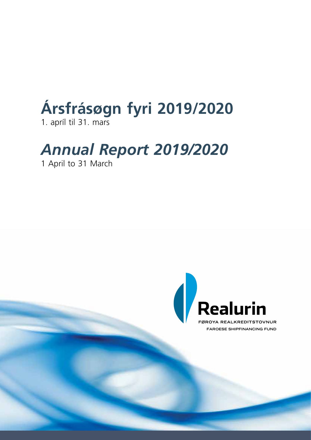# **Ársfrásøgn fyri 2016/2017 Ársfrásøgn fyri 2019/2020**

1. apríl til 31. mars 1. apríl til 31. mars

## Annual Report 2019 1 April to 31 March *Annual Report 2019/2020*

1 April to 31 March

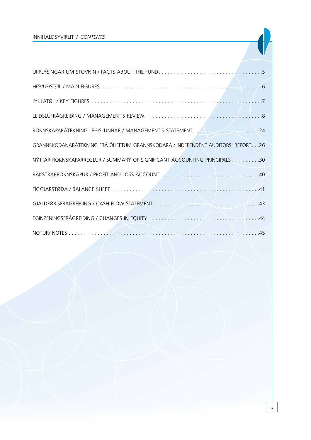## INNIHALDSYVIRLIT / *CONTENTS*

| GRANNSKOÐANARÁTEKNING FRÁ ÓHEFTUM GRANNSKOÐARA / INDEPENDENT AUDITORS' REPORT. 26 |
|-----------------------------------------------------------------------------------|
| NÝTTAR ROKNSKAPARREGLUR / SUMMARY OF SIGNIFICANT ACCOUNTING PRINCIPALS30          |
|                                                                                   |
|                                                                                   |
|                                                                                   |
|                                                                                   |
|                                                                                   |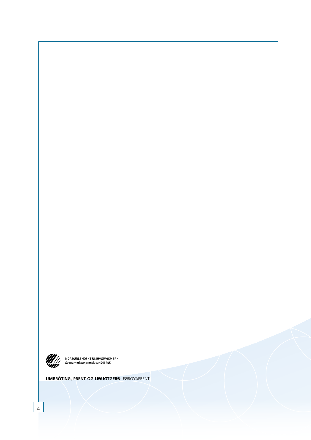

4

NORÐURLENDSKT UMHVØRVISMERKI<br>Svanamerktur prentlutur 541 705

**UMBRÓTING, PRENT OG LIÐUGTGERÐ:** FØROYAPRENT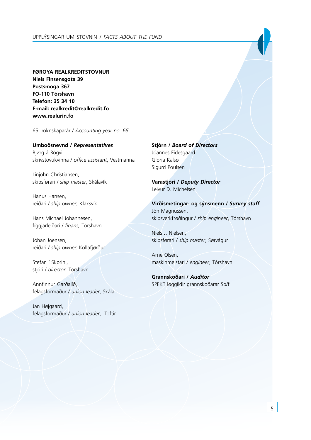**FØROYA REALKREDITSTOVNUR Niels Finsensgøta 39 Postsmoga 367 FO-110 Tórshavn Telefon: 35 34 10 E-mail: realkredit@realkredit.fo www.realurin.fo**

65. roknskaparár / *Accounting year no. 65*

**Umboðsnevnd /** *Representatives* Bjørg á Rógvi, skrivstovukvinna / *office assistant*, Vestmanna

Linjohn Christiansen, skipsførari / *ship master*, Skálavík

Hanus Hansen, reiðari / *ship owner*, Klaksvík

Hans Michael Johannesen, fíggjarleiðari / *finans,* Tórshavn

Jóhan Joensen, reiðari / *ship owner,* Kollafjørður

Stefan í Skorini, stjóri / *director*, Tórshavn

Annfinnur Garðalíð, felagsformaður / *union leader*, Skála

Jan Højgaard, felagsformaður / *union leader*, Toftir **Stjórn /** *Board of Directors* Jóannes Eidesgaard Gloria Kalsø Sigurd Poulsen

**Varastjóri /** *Deputy Director* Leivur D. Michelsen

**Virðismetingar- og sýnsmenn /** *Survey staff* Jón Magnussen, skipsverkfrøðingur / *ship engineer*, Tórshavn

5

Niels J. Nielsen, skipsførari / *ship master*, Sørvágur

Arne Olsen, maskinmeistari / *engineer*, Tórshavn

**Grannskoðari /** *Auditor* SPEKT løggildir grannskoðarar Sp/f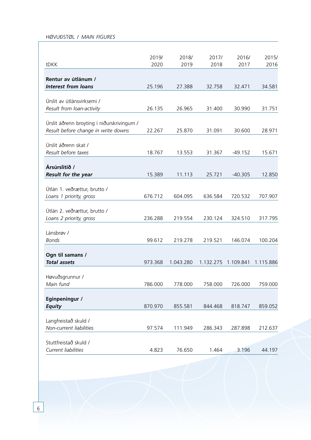### HØVUÐSTØL / *MAIN FIGURES*

| tDKK                                            | 2019/<br>2020 | 2018/<br>2019 | 2017/<br>2018 | 2016/<br>2017 | 2015/<br>2016 |
|-------------------------------------------------|---------------|---------------|---------------|---------------|---------------|
|                                                 |               |               |               |               |               |
| Rentur av útlánum /                             |               |               |               |               |               |
| <b>Interest from loans</b>                      | 25.196        | 27.388        | 32.758        | 32.471        | 34.581        |
| Úrslit av útlánsvirksemi /                      |               |               |               |               |               |
| Result from loan-activity                       | 26.135        | 26.965        | 31.400        | 30.990        | 31.751        |
|                                                 |               |               |               |               |               |
| Úrslit áðrenn broyting í niðurskrivingum /      |               |               |               |               |               |
| Result before change in write downs             | 22.267        | 25.870        | 31.091        | 30.600        | 28.971        |
| Úrslit áðrenn skat /                            |               |               |               |               |               |
| Result before taxes                             | 18.767        | 13.553        | 31.367        | $-49.152$     | 15.671        |
|                                                 |               |               |               |               |               |
| Ársúrslitið /                                   |               |               |               |               |               |
| <b>Result for the year</b>                      | 15.389        | 11.113        | 25.721        | $-40.305$     | 12.850        |
| Útlán 1. veðrættur, brutto /                    |               |               |               |               |               |
| Loans 1 priority, gross                         | 676.712       | 604.095       | 636.584       | 720.532       | 707.907       |
|                                                 |               |               |               |               |               |
| Útlán 2. veðrættur, brutto /                    |               |               |               |               |               |
| Loans 2 priority, gross                         | 236.288       | 219.554       | 230.124       | 324.510       | 317.795       |
| Lánsbrøv /                                      |               |               |               |               |               |
| <b>Bonds</b>                                    | 99.612        | 219.278       | 219.521       | 146.074       | 100.204       |
|                                                 |               |               |               |               |               |
| Ogn til samans /                                |               |               |               |               |               |
| <b>Total assets</b>                             | 973.368       | 1.043.280     | 1.132.275     | 1.109.841     | 1.115.886     |
|                                                 |               |               |               |               |               |
| Høvuðsgrunnur /<br>Main fund                    | 786.000       | 778.000       | 758.000       | 726.000       | 759.000       |
|                                                 |               |               |               |               |               |
| Eginpeningur /                                  |               |               |               |               |               |
| <b>Equity</b>                                   | 870.970       | 855.581       | 844.468       | 818.747       | 859.052       |
|                                                 |               |               |               |               |               |
| Langfreistað skuld /<br>Non-current liabilities | 97.574        | 111.949       | 286.343       | 287.898       | 212.637       |
|                                                 |               |               |               |               |               |
| Stuttfreistað skuld /                           |               |               |               |               |               |
| Current liabilities                             | 4.823         | 76.650        | 1.464         | 3.196         | 44.197        |
|                                                 |               |               |               |               |               |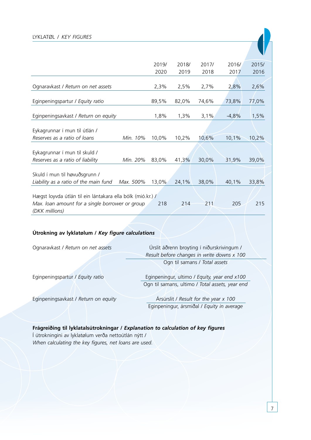

7

|                                                            | 2019/ | 2018/ | 2017/ | 2016/   | 2015/ |  |  |
|------------------------------------------------------------|-------|-------|-------|---------|-------|--|--|
|                                                            | 2020  | 2019  | 2018  | 2017    | 2016  |  |  |
|                                                            |       |       |       |         |       |  |  |
|                                                            | 2,3%  | 2,5%  | 2,7%  | 2,8%    | 2,6%  |  |  |
|                                                            |       |       |       |         |       |  |  |
|                                                            | 89,5% | 82,0% | 74,6% | 73,8%   | 77,0% |  |  |
|                                                            |       |       |       |         |       |  |  |
|                                                            | 1,8%  | 1,3%  | 3,1%  | $-4,8%$ | 1,5%  |  |  |
|                                                            |       |       |       |         |       |  |  |
|                                                            |       |       |       |         |       |  |  |
| Min. 10%                                                   | 10,0% | 10,2% | 10,6% | 10,1%   | 10,2% |  |  |
|                                                            |       |       |       |         |       |  |  |
|                                                            |       |       |       |         |       |  |  |
| Min. 20%                                                   | 83,0% | 41,3% | 30,0% | 31,9%   | 39,0% |  |  |
|                                                            |       |       |       |         |       |  |  |
|                                                            |       |       |       |         |       |  |  |
| Max. 500%                                                  | 13,0% | 24,1% | 38,0% | 40,1%   | 33,8% |  |  |
|                                                            |       |       |       |         |       |  |  |
| Hægst loyvda útlán til ein lántakara ella bólk (mió.kr.) / |       |       |       |         |       |  |  |
| Max. Ioan amount for a single borrower or group            | 218   | 214   | 211   | 205     | 215   |  |  |
|                                                            |       |       |       |         |       |  |  |
|                                                            |       |       |       |         |       |  |  |

## **Útrokning av lyklatølum /** *Key figure calculations*

| Ognaravkast / Return on net assets   | Úrslit áðrenn broyting í niðurskrivingum /      |
|--------------------------------------|-------------------------------------------------|
|                                      | Result before changes in write downs x 100      |
|                                      | Ogn til samans / Total assets                   |
|                                      |                                                 |
| Eginpeningspartur / Equity ratio     | Eginpeningur, ultimo / Equity, year end x100    |
|                                      | Ogn til samans, ultimo / Total assets, year end |
|                                      |                                                 |
| Eginpeningsavkast / Return on equity | Ársúrslit / Result for the year x 100           |
|                                      | Eginpeningur, ársmiðal / Equity in average      |

## **Frágreiðing til lyklatalsútrokningar /** *Explanation to calculation of key figures*

Í útrokningini av lyklatølum verða nettoútlán nýtt / *When calculating the key figures, net loans are used.*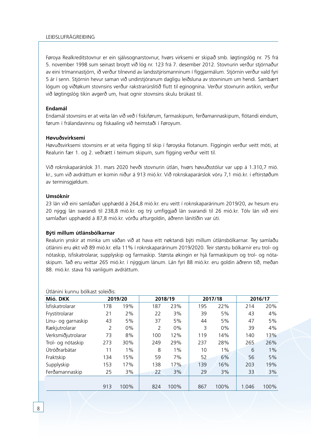Føroya Realkreditstovnur er ein sjálvsognarstovnur, hvørs virksemi er skipað smb. løgtingslóg nr. 75 frá 5. november 1998 sum seinast broytt við lóg nr. 123 frá 7. desember 2012. Stovnurin verður stjórnaður av eini trímannastjórn, ið verður tilnevnd av landsstýrismanninum í fíggjarmálum. Stjórnin verður vald fyri 5 ár í senn. Stjórnin hevur saman við undirstjóranum dagligu leiðsluna av stovninum um hendi. Sambært lógum og viðtøkum stovnsins verður rakstrarúrslitið flutt til eginognina. Verður stovnurin avtikin, verður við løgtingslóg tikin avgerð um, hvat ognir stovnsins skulu brúkast til.

## **Endamál**

Endamál stovnsins er at veita lán við veð í fiskiførum, farmaskipum, ferðamannaskipum, flótandi eindum, førum í frálandavinnu og fiskaaling við heimstaði í Føroyum.

## **Høvuðsvirksemi**

Høvuðsvirksemi stovnsins er at veita fígging til skip í føroyska flotanum. Fíggingin verður veitt móti, at Realurin fær 1. og 2. veðrætt í teimum skipum, sum fígging verður veitt til.

Við roknskaparárslok 31. mars 2020 hevði stovnurin útlán, hvørs høvuðsstólur var upp á 1.310,7 mió. kr., sum við avdráttum er komin niður á 913 mió.kr. Við roknskaparárslok vóru 7,1 mió.kr. í eftirstøðum av terminsgjøldum.

## **Umsóknir**

23 lán við eini samlaðari upphædd á 264,8 mió.kr. eru veitt í roknskaparárinum 2019/20, av hesum eru 20 nýggj lán svarandi til 238,8 mió.kr. og trý umfíggjað lán svarandi til 26 mió.kr. Tólv lán við eini samlaðari upphædd á 87,8 mió.kr. vórðu afturgoldin, áðrenn lánitíðin var úti.

## **Býti millum útlánsbólkarnar**

Realurin ynskir at minka um váðan við at hava eitt nøktandi býti millum útlánsbólkarnar. Tey samlaðu útlánini eru økt við 89 mió.kr. ella 11% í roknskaparárinum 2019/2020. Teir størstu bólkarnir eru trol- og nótaskip, ísfiskatrolarar, supplyskip og farmaskip. Størsta økingin er hjá farmaskipum og trol- og nótaskipum. Tað eru veittar 265 mió.kr. í nýggjum lánum. Lán fyri 88 mió.kr. eru goldin áðrenn tíð, meðan 88. mió.kr. stava frá vanligum avdráttum.

| Mió. DKK           |     | 2019/20 |     | 2018/19 |     | 2017/18 |       | 2016/17 |
|--------------------|-----|---------|-----|---------|-----|---------|-------|---------|
| Ísfiskatrolarar    | 178 | 19%     | 187 | 23%     | 195 | 22%     | 214   | 20%     |
| Frystitrolarar     | 21  | 2%      | 22  | 3%      | 39  | 5%      | 43    | 4%      |
| Línu- og garnaskip | 43  | 5%      | 37  | 5%      | 44  | 5%      | 47    | 5%      |
| Rækjutrolarar      | 2   | $0\%$   | 2   | $0\%$   | 3   | $0\%$   | 39    | 4%      |
| Verksmiðjutrolarar | 73  | 8%      | 100 | 12%     | 119 | 14%     | 140   | 13%     |
| Trol- og nótaskip  | 273 | 30%     | 249 | 29%     | 237 | 28%     | 265   | 26%     |
| Útróðrarbátar      | 11  | 1%      | 8   | 1%      | 10  | 1%      | 6     | 1%      |
| Fraktskip          | 134 | 15%     | 59  | 7%      | 52  | 6%      | 56    | 5%      |
| Supplyskip         | 153 | 17%     | 138 | 17%     | 139 | 16%     | 203   | 19%     |
| Ferðamannaskip     | 25  | 3%      | 22  | 3%      | 29  | 3%      | 33    | 3%      |
|                    |     |         |     |         |     |         |       |         |
|                    | 913 | 100%    | 824 | 100%    | 867 | 100%    | 1.046 | 100%    |

Útlánini kunnu bólkast soleiðis: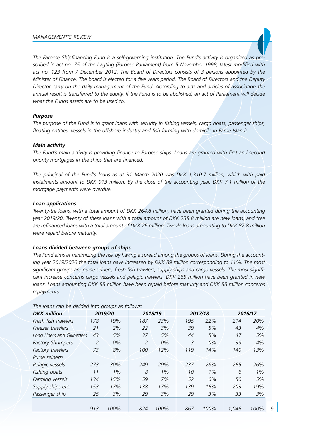*The Faroese Shipfinancing Fund is a self-governing institution. The Fund's activity is organized as prescribed in act no. 75 of the Løgting (Faroese Parliament) from 5 November 1998, latest modified with act no. 123 from 7 December 2012. The Board of Directors consists of 3 persons appointed by the Minister of Finance. The board is elected for a five years period. The Board of Directors and the Deputy Director carry on the daily management of the Fund. According to acts and articles of association the annual result is transferred to the equity. If the Fund is to be abolished, an act of Parliament will decide what the Funds assets are to be used to.*

#### *Purpose*

*The purpose of the Fund is to grant loans with security in fishing vessels, cargo boats, passenger ships, floating entities, vessels in the offshore industry and fish farming with domicile in Faroe Islands.*

#### *Main activity*

*The Fund's main activity is providing finance to Faroese ships. Loans are granted with first and second priority mortgages in the ships that are financed.* 

*The principal of the Fund's loans as at 31 March 2020 was DKK 1,310.7 million, which with paid instalments amount to DKK 913 million. By the close of the accounting year, DKK 7.1 million of the mortgage payments were overdue.* 

#### *Loan applications*

*Twenty-tre loans, with a total amount of DKK 264.8 million, have been granted during the accounting year 2019/20. Twenty of these loans with a total amount of DKK 238.8 million are new loans, and tree are refinanced loans with a total amount of DKK 26 million. Twevle loans amounting to DKK 87.8 million were repaid before maturity.* 

#### *Loans divided between groups of ships*

*The Fund aims at minimizing the risk by having a spread among the groups of loans. During the accounting year 2019/2020 the total loans have increased by DKK 89 million corresponding to 11%. The most significant groups are purse seiners, fresh fish trawlers, supply ships and cargo vessels. The most significant increase concerns cargo vessels and pelagic trawlers. DKK 265 million have been granted in new loans. Loans amounting DKK 88 million have been repaid before maturity and DKK 88 million concerns repayments.* 

| <b>DKK</b> million          |     | 2019/20<br>2018/19 |                | 2017/18 |     |      | 2016/17 |      |
|-----------------------------|-----|--------------------|----------------|---------|-----|------|---------|------|
| Fresh fish trawlers         | 178 | 19%                | 187            | 23%     | 195 | 22%  | 214     | 20%  |
| Freezer trawlers            | 21  | 2%                 | 22             | 3%      | 39  | 5%   | 43      | 4%   |
| Long Liners and Gillnetters | 43  | 5%                 | 37             | 5%      | 44  | 5%   | 47      | 5%   |
| <b>Factory Shrimpers</b>    | 2   | 0%                 | $\overline{2}$ | $0\%$   | 3   | 0%   | 39      | 4%   |
| Factory trawlers            | 73  | 8%                 | 100            | 12%     | 119 | 14%  | 140     | 13%  |
| Purse seiners/              |     |                    |                |         |     |      |         |      |
| Pelagic vessels             | 273 | 30%                | 249            | 29%     | 237 | 28%  | 265     | 26%  |
| Fishing boats               | 11  | 1%                 | 8              | 1%      | 10  | 1%   | 6       | 1%   |
| Farming vessels             | 134 | 15%                | 59             | 7%      | 52  | 6%   | 56      | 5%   |
| Supply ships etc.           | 153 | 17%                | 138            | 17%     | 139 | 16%  | 203     | 19%  |
| Passenger ship              | 25  | 3%                 | 29             | 3%      | 29  | 3%   | 33      | 3%   |
|                             |     |                    |                |         |     |      |         |      |
|                             | 913 | 100%               | 824            | 100%    | 867 | 100% | 1,046   | 100% |

#### *The loans can be divided into groups as follows:*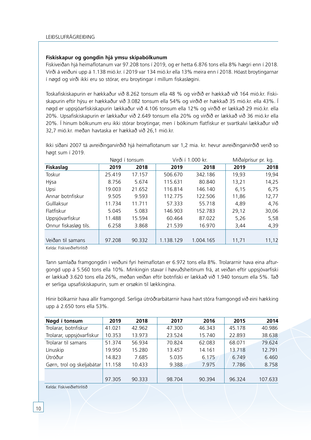## **Fiskiskapur og gongdin hjá ymsu skipabólkunum**

Fiskiveiðan hjá heimaflotanum var 97.208 tons í 2019, og er hetta 6.876 tons ella 8% hægri enn í 2018. Virði á veiðuni upp á 1.138 mió.kr. í 2019 var 134 mió.kr ella 13% meira enn í 2018. Hóast broytingarnar í nøgd og virði ikki eru so stórar, eru broytingar í millum fiskasløgini.

Toskafiskiskapurin er hækkaður við 8.262 tonsum ella 48 % og virðið er hækkað við 164 mió.kr. Fiskiskapurin eftir hýsu er hækkaður við 3.082 tonsum ella 54% og virðið er hækkað 35 mió.kr. ella 43%. Í nøgd er uppsjóarfiskiskapurin lækkaður við 4.106 tonsum ella 12% og virðið er lækkað 29 mió.kr. ella 20%. Upsafiskiskapurin er lækkaður við 2.649 tonsum ella 20% og virðið er lækkað við 36 mió.kr ella 20%. Í hinum bólkunum eru ikki stórar broytingar, men í bólkinum flatfiskur er svartkalvi lækkaður við 32,7 mió.kr. meðan havtaska er hækkað við 26,1 mió.kr.

Ikki síðani 2007 tá avreiðingarvirðið hjá heimaflotanum var 1,2 mia. kr. hevur avreiðingarvirðið verið so høgt sum í 2019.

|                       |        | Nøgd í tonsum |           | Virði í 1.000 kr. | Miðalprísur pr. kg. |       |
|-----------------------|--------|---------------|-----------|-------------------|---------------------|-------|
| <b>Fiskaslag</b>      | 2019   | 2018          | 2019      | 2018              | 2019                | 2018  |
| Toskur                | 25.419 | 17.157        | 506.670   | 342.186           | 19,93               | 19,94 |
| Hýsa                  | 8.756  | 5.674         | 115.631   | 80.840            | 13,21               | 14,25 |
| Upsi                  | 19.003 | 21.652        | 116.814   | 146.140           | 6,15                | 6,75  |
| Annar botnfiskur      | 9.505  | 9.593         | 112.775   | 122.506           | 11,86               | 12,77 |
| Gulllaksur            | 11.734 | 11.711        | 57.333    | 55.718            | 4,89                | 4,76  |
| Flatfiskur            | 5.045  | 5.083         | 146.903   | 152.783           | 29,12               | 30,06 |
| Uppsjóvarfiskur       | 11.488 | 15.594        | 60.464    | 87.022            | 5,26                | 5,58  |
| Onnur fiskasløg tils. | 6.258  | 3.868         | 21.539    | 16.970            | 3,44                | 4,39  |
|                       |        |               |           |                   |                     |       |
| Veiðan til samans     | 97.208 | 90.332        | 1.138.129 | 1.004.165         | 11,71               | 11,12 |

Kelda: Fiskiveiðieftirlitið

Tann samlaða framgongdin í veiðuni fyri heimaflotan er 6.972 tons ella 8%. Trolararnir hava eina afturgongd upp á 5.560 tons ella 10%. Minkingin stavar í høvuðsheitinum frá, at veiðan eftir uppsjóvarfiski er lækkað 3.620 tons ella 26%, meðan veiðan eftir botnfiski er lækkað við 1.940 tonsum ella 5%. Tað er serliga upsafiskiskapurin, sum er orsøkin til lækkingina.

Hinir bólkarnir hava allir framgongd. Serliga útróðrarbátarnir hava havt stóra framgongd við eini hækking upp á 2.650 tons ella 53%.

| Nøgd í tonsum             | 2019   | 2018   | 2017   | 2016   | 2015   | 2014    |
|---------------------------|--------|--------|--------|--------|--------|---------|
| Trolarar, botnfiskur      | 41.021 | 42.962 | 47.300 | 46.343 | 45.178 | 40.986  |
| Trolarar, uppsjóvarfiskur | 10.353 | 13.973 | 23.524 | 15.740 | 22.893 | 38.638  |
| Trolarar til samans       | 51.374 | 56.934 | 70.824 | 62.083 | 68.071 | 79.624  |
| Línuskip                  | 19.950 | 15.280 | 13.457 | 14.161 | 13.718 | 12.791  |
| Útróður                   | 14.823 | 7.685  | 5.035  | 6.175  | 6.749  | 6.460   |
| Gørn, trol og skeljabátar | 11.158 | 10.433 | 9.388  | 7.975  | 7.786  | 8.758   |
|                           |        |        |        |        |        |         |
|                           | 97.305 | 90.333 | 98.704 | 90.394 | 96.324 | 107.633 |

Kelda: Fiskiveiðieftirlitið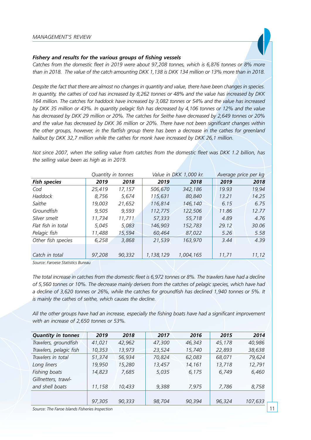

11

#### *Fishery and results for the various groups of fishing vessels*

*Catches from the domestic fleet in 2019 were about 97,208 tonnes, which is 6,876 tonnes or 8% more than in 2018. The value of the catch amounting DKK 1,138 is DKK 134 million or 13% more than in 2018.* 

*Despite the fact that there are almost no changes in quantity and value, there have been changes in species. In quantity, the cathes of cod has increased by 8,262 tonnes or 48% and the value has increased by DKK 164 million. The catches for haddock have increased by 3,082 tonnes or 54% and the value has increased by DKK 35 million or 43%. In quantity pelagic fish has decreased by 4,106 tonnes or 12% and the value has decreased by DKK 29 million or 20%. The catches for Seithe have decreased by 2,649 tonnes or 20% and the value has decreased by DKK 36 million or 20%. There have not been significant changes within the other groups, however, in the flatfish group there has been a decrease in the cathes for greenland halibut by DKK 32,7 million while the cathes for monk have increased by DKK 26,1 million.*

*Not since 2007, when the selling value from catches from the domestic fleet was DKK 1.2 billion, has the selling value been as high as in 2019.* 

|                     | Quantity in tonnes |        |           | Value in DKK 1,000 kr. |       | Average price per kg |
|---------------------|--------------------|--------|-----------|------------------------|-------|----------------------|
| <b>Fish species</b> | 2019               | 2018   | 2019      | 2018                   | 2019  | 2018                 |
| Cod                 | 25,419             | 17,157 | 506,670   | 342,186                | 19.93 | 19,94                |
| Haddock             | 8,756              | 5,674  | 115,631   | 80,840                 | 13.21 | 14.25                |
| Saithe              | 19,003             | 21,652 | 116,814   | 146,140                | 6.15  | 6.75                 |
| Groundfish          | 9,505              | 9,593  | 112,775   | 122,506                | 11.86 | 12.77                |
| Silver smelt        | 11,734             | 11,711 | 57,333    | 55,718                 | 4.89  | 4.76                 |
| Flat fish in total  | 5,045              | 5,083  | 146,903   | 152,783                | 29.12 | 30.06                |
| Pelagic fish        | 11,488             | 15,594 | 60,464    | 87,022                 | 5.26  | 5.58                 |
| Other fish species  | 6,258              | 3,868  | 21,539    | 163,970                | 3.44  | 4.39                 |
|                     |                    |        |           |                        |       |                      |
| Catch in total      | 97,208             | 90,332 | 1,138,129 | 1,004,165              | 11,71 | 11,12                |

*Source: Faroese Statistics Bureau*

*The total increase in catches from the domestic fleet is 6,972 tonnes or 8%. The trawlers have had a decline of 5,560 tonnes or 10%. The decrease mainly derivers from the catches of pelagic species, which have had a decline of 3,620 tonnes or 26%, while the catches for groundfish has declined 1,940 tonnes or 5%. It is mainly the cathes of seithe, which causes the decline.* 

*All the other groups have had an increase, especially the fishing boats have had a significant improvement with an increase of 2,650 tonnes or 53%.*

| <b>Quantity in tonnes</b> | 2019   | 2018   | 2017   | 2016   | 2015   | 2014    |
|---------------------------|--------|--------|--------|--------|--------|---------|
| Trawlers, groundfish      | 41,021 | 42,962 | 47,300 | 46,343 | 45,178 | 40,986  |
| Trawlers, pelagic fish    | 10,353 | 13,973 | 23,524 | 15,740 | 22,893 | 38,638  |
| Trawlers in total         | 51,374 | 56,934 | 70,824 | 62,083 | 68,071 | 79,624  |
| Long liners               | 19,950 | 15,280 | 13,457 | 14,161 | 13,718 | 12,791  |
| Fishing boats             | 14,823 | 7,685  | 5,035  | 6,175  | 6,749  | 6,460   |
| Gillnetters, trawl-       |        |        |        |        |        |         |
| and shell boats           | 11,158 | 10,433 | 9,388  | 7,975  | 7,786  | 8,758   |
|                           |        |        |        |        |        |         |
|                           | 97,305 | 90,333 | 98,704 | 90,394 | 96,324 | 107,633 |

*Source: The Faroe Islands Fisheries Inspection*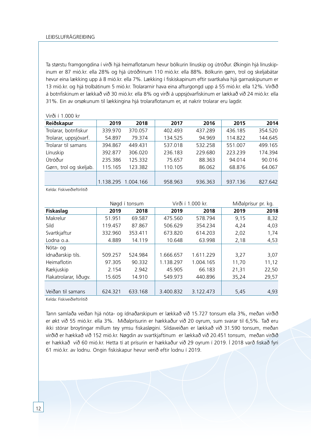Ta størstu framgongdina í virði hjá heimaflotanum hevur bólkurin línuskip og útróður. Økingin hjá línuskipinum er 87 mió.kr. ella 28% og hjá útróðrinum 110 mió.kr. ella 88%. Bólkurin gørn, trol og skeljabátar hevur eina lækking upp á 8 mió.kr. ella 7%. Lækking í fiskiskapinum eftir svartkalva hjá garnaskipunum er 13 mió.kr. og hjá trolbátinum 5 mió.kr. Trolararnir hava eina afturgongd upp á 55 mió.kr. ella 12%. Virðið á botnfiskinum er lækkað við 30 mió.kr. ella 8% og virði á uppsjóvarfiskinum er lækkað við 24 mió.kr. ella 31%. Ein av orsøkunum til lækkingina hjá trolaraflotanum er, at nakrir trolarar eru lagdir.

| Virði í 1.000 kr       |                     |         |         |         |         |         |
|------------------------|---------------------|---------|---------|---------|---------|---------|
| Reiðskapur             | 2019                | 2018    | 2017    | 2016    | 2015    | 2014    |
| Trolarar, botnfiskur   | 339.970             | 370.057 | 402.493 | 437.289 | 436.185 | 354.520 |
| Trolarar, uppsjóvarf.  | 54.897              | 79.374  | 134.525 | 94.969  | 114.822 | 144.645 |
| Trolarar til samans    | 394.867             | 449.431 | 537.018 | 532.258 | 551.007 | 499.165 |
| Línuskip               | 392.877             | 306.020 | 236.183 | 229.680 | 223.239 | 174.394 |
| Útróður                | 235.386             | 125.332 | 75.657  | 88.363  | 94.014  | 90.016  |
| Gørn, trol og skeljab. | 115.165             | 123.382 | 110.105 | 86.062  | 68.876  | 64.067  |
|                        |                     |         |         |         |         |         |
|                        | 1.138.295 1.004.166 |         | 958.963 | 936.363 | 937.136 | 827.642 |
|                        |                     |         |         |         |         |         |

Kelda: Fiskiveiðieftirlitið

|                        | Nøgd í tonsum |         | Virði í 1.000 kr. |           |       | Miðalprísur pr. kg. |  |
|------------------------|---------------|---------|-------------------|-----------|-------|---------------------|--|
| <b>Fiskaslag</b>       | 2019          | 2018    | 2019              | 2018      | 2019  | 2018                |  |
| Makrelur               | 51.951        | 69.587  | 475.560           | 578.794   | 9,15  | 8,32                |  |
| Sild                   | 119.457       | 87.867  | 506.629           | 354.234   | 4,24  | 4,03                |  |
| Svartkjaftur           | 332.960       | 353.411 | 673.820           | 614.203   | 2,02  | 1,74                |  |
| Lodna o.a.             | 4.889         | 14.119  | 10.648            | 63.998    | 2,18  | 4,53                |  |
| Nóta- og               |               |         |                   |           |       |                     |  |
| ídnaðarskip tils.      | 509.257       | 524.984 | 1.666.657         | 1.611.229 | 3,27  | 3,07                |  |
| Heimaflotin            | 97.305        | 90.332  | 1.138.297         | 1.004.165 | 11,70 | 11,12               |  |
| Rækjuskip              | 2.154         | 2.942   | 45.905            | 66.183    | 21,31 | 22,50               |  |
| Flakatrolarar, liðugv. | 15.605        | 14.910  | 549.973           | 440.896   | 35,24 | 29,57               |  |
|                        |               |         |                   |           |       |                     |  |
| Veiðan til samans      | 624.321       | 633.168 | 3.400.832         | 3.122.473 | 5,45  | 4,93                |  |

Kelda: Fiskiveiðieftirlitið

Tann samlaða veiðan hjá nóta- og ídnaðarskipum er lækkað við 15.727 tonsum ella 3%, meðan virðið er økt við 55 mió.kr. ella 3%. Miðalprísurin er hækkaður við 20 oyrum, sum svarar til 6,5%. Tað eru ikki stórar broytingar millum tey ymsu fiskasløgini. Sildaveiðan er lækkað við 31.590 tonsum, meðan virðið er hækkað við 152 mió.kr. Nøgdin av svartkjaftinum er lækkað við 20.451 tonsum, meðan virðið er hækkað við 60 mió.kr. Hetta tí at prísurin er hækkaður við 29 oyrum í 2019. Í 2018 varð fiskað fyri 61 mió.kr. av lodnu. Ongin fiskiskapur hevur verið eftir lodnu í 2019.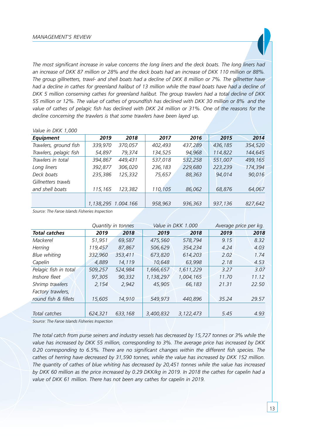

*The most significant increase in value concerns the long liners and the deck boats. The long liners had an increase of DKK 87 million or 28% and the deck boats had an increase of DKK 110 million or 88%. The group gillnetters, trawl- and shell boats had a decline of DKK 8 million or 7%. The gillnetter have had a decline in cathes for greenland halibut of 13 million while the trawl boats have had a decline of DKK 5 million conserning cathes for greenland halibut. The group trawlers had a total decline of DKK 55 million or 12%. The value of cathes of groundfish has declined with DKK 30 million or 8% and the*  value of cathes of pelagic fish has declined with DKK 24 million or 31%. One of the reasons for the *decline concerning the trawlers is that some trawlers have been layed up.*

#### *Value in DKK 1,000*

| <b>Equipment</b>       | 2019                | 2018    | 2017    | 2016    | 2015    | 2014    |
|------------------------|---------------------|---------|---------|---------|---------|---------|
| Trawlers, ground fish  | 339,970             | 370,057 | 402,493 | 437,289 | 436,185 | 354,520 |
| Trawlers, pelagic fish | 54,897              | 79,374  | 134,525 | 94,968  | 114,822 | 144,645 |
| Trawlers in total      | 394,867             | 449,431 | 537,018 | 532,258 | 551,007 | 499,165 |
| Long liners            | 392,877             | 306,020 | 236,183 | 229,680 | 223,239 | 174,394 |
| Deck boats             | 235,386             | 125,332 | 75,657  | 88,363  | 94,014  | 90,016  |
| Gillnetters trawls     |                     |         |         |         |         |         |
| and shell boats        | 115,165             | 123,382 | 110,105 | 86,062  | 68,876  | 64,067  |
|                        |                     |         |         |         |         |         |
|                        | 1,138,295 1.004.166 |         | 958,963 | 936,363 | 937,136 | 827,642 |

*Source: The Faroe Islands Fisheries Inspection*

|                       |         | Quantity in tonnes |           | Value in DKK 1.000 |       | Average price per kg. |
|-----------------------|---------|--------------------|-----------|--------------------|-------|-----------------------|
| <b>Total catches</b>  | 2019    | 2018               | 2019      | 2018               | 2019  | 2018                  |
| Mackerel              | 51,951  | 69,587             | 475,560   | 578,794            | 9.15  | 8.32                  |
| Herring               | 119,457 | 87,867             | 506,629   | 354,234            | 4.24  | 4.03                  |
| <b>Blue whiting</b>   | 332,960 | 353,411            | 673,820   | 614,203            | 2.02  | 1.74                  |
| Capelin               | 4,889   | 14,119             | 10,648    | 63,998             | 2.18  | 4.53                  |
| Pelagic fish in total | 509,257 | 524,984            | 1,666,657 | 1,611,229          | 3.27  | 3.07                  |
| Inshore fleet         | 97,305  | 90,332             | 1,138,297 | 1,004,165          | 11.70 | 11.12                 |
| Shrimp trawlers       | 2,154   | 2,942              | 45,905    | 66,183             | 21.31 | 22.50                 |
| Factory trawlers,     |         |                    |           |                    |       |                       |
| round fish & fillets  | 15,605  | 14,910             | 549,973   | 440,896            | 35.24 | 29.57                 |
|                       |         |                    |           |                    |       |                       |
| Total catches         | 624,321 | 633,168            | 3,400,832 | 3,122,473          | 5.45  | 4.93                  |

*Source: The Faroe Islands Fisheries Inspection*

*The total catch from purse seiners and industry vessels has decreased by 15,727 tonnes or 3% while the value has increased by DKK 55 million, corresponding to 3%. The average price has increased by DKK 0.20 corresponding to 6.5%. There are no significant changes within the different fish species. The cathes of herring have decreased by 31,590 tonnes, while the value has increased by DKK 152 million. The quantity of cathes of blue whiting has decreased by 20,451 tonnes while the value has increased by DKK 60 million as the price increased by 0.29 DKK/kg in 2019. In 2018 the cathes for capelin had a*  value of DKK 61 million. There has not been any cathes for capelin in 2019.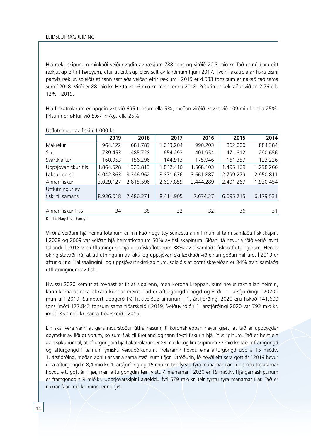Hjá rækjuskipunum minkaði veiðunøgdin av rækjum 788 tons og virðið 20,3 mió.kr. Tað er nú bara eitt rækjuskip eftir í Føroyum, eftir at eitt skip bleiv selt av landinum í juni 2017. Tveir flakatrolarar fiska eisini partvís rækjur, soleiðis at tann samlaða veiðan eftir rækjum í 2019 er 4.533 tons sum er nakað tað sama sum í 2018. Virði er 88 mió.kr. Hetta er 16 mió.kr. minni enn í 2018. Prísurin er lækkaður við kr. 2,76 ella 12% í 2019.

Hjá flakatrolarum er nøgdin økt við 695 tonsum ella 5%, meðan virðið er økt við 109 mió.kr. ella 25%. Prísurin er øktur við 5,67 kr./kg. ella 25%.

|                       | 2019      | 2018      | 2017      | 2016      | 2015      | 2014      |
|-----------------------|-----------|-----------|-----------|-----------|-----------|-----------|
| Makrelur              | 964.122   | 681.789   | 1.043.204 | 990.203   | 862.000   | 884.384   |
| Sild                  | 739.453   | 485.728   | 654.293   | 401.954   | 471.812   | 290.656   |
| Svartkjaftur          | 160.953   | 156.296   | 144.913   | 175.946   | 161.357   | 123.226   |
| Uppsjóvarfiskur tils. | 1.864.528 | 1.323.813 | 1.842.410 | 1.568.103 | 1.495.169 | 1.298.266 |
| Laksur og síl         | 4.042.363 | 3.346.962 | 3.871.636 | 3.661.887 | 2.799.279 | 2.950.811 |
| Annar fiskur          | 3.029.127 | 2.815.596 | 2.697.859 | 2.444.289 | 2.401.267 | 1.930.454 |
| Útflutningur av       |           |           |           |           |           |           |
| fiski til samans      | 8.936.018 | 7.486.371 | 8.411.905 | 7.674.27  | 6.695.715 | 6.179.531 |
|                       |           |           |           |           |           |           |
| Annar fiskur í %      | 34        | 38        | 32        | 32        | 36        | 31        |
|                       |           |           |           |           |           |           |

Útflutningur av fiski í 1.000 kr.

Kelda: Hagstova Føroya

Virði á veiðuni hjá heimaflotanum er minkað nógv tey seinastu árini í mun til tann samlaða fiskiskapin. Í 2008 og 2009 var veiðan hjá heimaflotanum 50% av fiskiskapinum. Síðani tá hevur virðið verið javnt fallandi. Í 2018 var útflutningurin hjá botnfiskaflotanum 38% av tí samlaða fiskaútflutninginum. Henda øking stavaði frá, at útflutningurin av laksi og uppsjóvarfiski lækkaði við einari góðari milliard. Í 2019 er aftur øking í laksaalingini og uppsjóvarfiskisskapinum, soleiðis at botnfiskaveiðan er 34% av tí samlaða útflutninginum av fiski.

Hvussu 2020 kemur at roynast er ilt at siga enn, men korona kreppan, sum hevur rakt allan heimin, kann koma at raka okkara kundar meint. Tað er afturgongd í nøgd og virði í 1. ársfjórðingi í 2020 í mun til í 2019. Sambært uppgerð frá Fiskiveiðueftirlitinum í 1. ársfjórðingi 2020 eru fiskað 141.600 tons ímóti 177.843 tonsum sama tíðarskeið í 2019. Veiðuvirðið í 1. ársfjórðingi 2020 var 793 mió.kr. ímóti 852 mió.kr. sama tíðarskeið í 2019.

Ein skal vera varin at gera niðurstøður útfrá hesum, tí koronakreppan hevur gjørt, at tað er uppbygdar goymslur av liðugt vørum, so sum flak til Bretland og tann frysti fiskurin hjá línuskipinum. Tað er helst ein av orsøkunum til, at afturgongdin hjá flakatrolarum er 83 mió.kr. og línuskipinum 37 mió.kr. Tað er framgongd og afturgongd í teimum ymisku veiðubólkunum. Trolararnir høvdu eina afturgongd upp á 15 mió.kr. 1. ársfjórðing, meðan apríl í ár var á sama støði sum í fjør. Útróðurin, ið hevði eitt sera gott ár í 2019 hevur eina afturgongdin 8,4 mió.kr. 1. ársfjórðing og 15 mió.kr. teir fyrstu fýra mánarnar í ár. Teir smáu trolararnar høvdu eitt gott ár í fjør, men afturgongdin teir fyrstu 4 mánarnar í 2020 er 19 mió.kr. Hjá garnaskipunum er framgongdin 9 mió.kr. Uppsjóvarskipini avreiddu fyri 579 mió.kr. teir fyrstu fýra mánarnar í ár. Tað er nakrar fáar mió.kr. minni enn í fjør.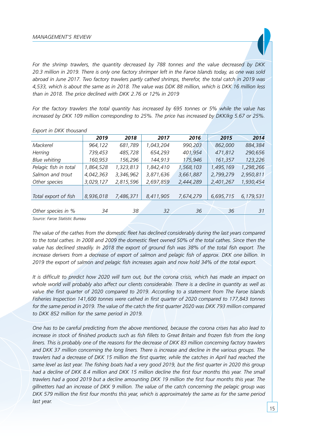*For the shrimp trawlers, the quantity decreased by 788 tonnes and the value decreased by DKK 20.3 million in 2019. There is only one factory shrimper left in the Faroe Islands today, as one was sold abroad in June 2017. Two factory trawlers partly cathed shrimps, therefor, the total catch in 2019 was 4,533, which is about the same as in 2018. The value was DDK 88 million, which is DKK 16 million less than in 2018. The price declined with DKK 2.76 or 12% in 2019*

*For the factory trawlers the total quantity has increased by 695 tonnes or 5% while the value has increased by DKK 109 million corresponding to 25%. The price has increased by DKK/kg 5.67 or 25%.*

| <i>EXPOLUTE DINNETHOUSHIN</i>  |           |           |           |           |           |           |
|--------------------------------|-----------|-----------|-----------|-----------|-----------|-----------|
|                                | 2019      | 2018      | 2017      | 2016      | 2015      | 2014      |
| Mackerel                       | 964,122   | 681,789   | 1,043,204 | 990,203   | 862,000   | 884,384   |
| Herring                        | 739,453   | 485,728   | 654,293   | 401,954   | 471,812   | 290,656   |
| <b>Blue whiting</b>            | 160,953   | 156,296   | 144,913   | 175,946   | 161,357   | 123,226   |
| Pelagic fish in total          | 1,864,528 | 1,323,813 | 1,842,410 | 1,568,103 | 1,495,169 | 1,298,266 |
| Salmon and trout               | 4,042,363 | 3,346,962 | 3,871,636 | 3,661,887 | 2,799,279 | 2,950,811 |
| Other species                  | 3,029,127 | 2,815,596 | 2,697,859 | 2,444,289 | 2,401,267 | 1,930,454 |
|                                |           |           |           |           |           |           |
| Total export of fish           | 8,936,018 | 7,486,371 | 8,411,905 | 7,674,279 | 6,695,715 | 6,179,531 |
|                                |           |           |           |           |           |           |
| Other species in %             | 34        | 38        | 32        | 36        | 36        | 31        |
| Source: Faroe Statistic Bureau |           |           |           |           |           |           |

*Export in DKK thousand*

*Source: Faroe Statistic Bureau*

*The value of the cathes from the domestic fleet has declined considerably during the last years compared*  to the total cathes. In 2008 and 2009 the domestic fleet owned 50% of the total cathes. Since then the *value has declined steadily. In 2018 the export of ground fish was 38% of the total fish export. The increase derivers from a decrease of export of salmon and pelagic fish of approx. DKK one billion. In 2019 the export of salmon and pelagic fish increases again and now hold 34% of the total export.*

It is difficult to predict how 2020 will turn out, but the corona crisis, which has made an impact on *whole world will probably also affect our clients considerable. There is a decline in quantity as well as value the first quarter of 2020 compared to 2019. According to a statement from The Faroe Islands Fisheries Inspection 141,600 tonnes were cathed in first quarter of 2020 compared to 177,843 tonnes*  for the same period in 2019. The value of the catch the first quarter 2020 was DKK 793 million compared *to DKK 852 million for the same period in 2019.* 

*One has to be careful predicting from the above mentioned, because the corona crises has also lead to increase in stock of finished products such as fish fillets to Great Britain and frozen fish from the long liners. This is probably one of the reasons for the decrease of DKK 83 million concerning factory trawlers and DKK 37 million concerning the long liners. There is increase and decline in the various groups. The trawlers had a decrease of DKK 15 million the first quarter, while the catches in April had reached the same level as last year. The fishing boats had a very good 2019, but the first quarter in 2020 this group*  had a decline of DKK 8.4 million and DKK 15 million decline the first four months this year. The small *trawlers had a good 2019 but a decline amounting DKK 19 million the first four months this year. The gillnetters had an increase of DKK 9 million. The value of the catch concerning the pelagic group was DKK 579 million the first four months this year, which is approximately the same as for the same period last year.*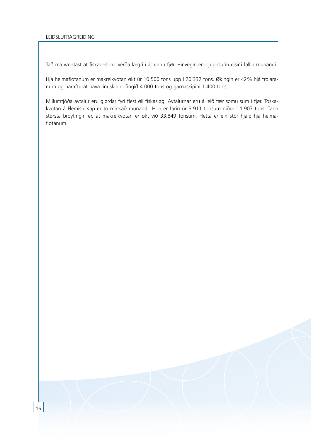16

Tað má væntast at fiskaprísirnir verða lægri í ár enn í fjør. Hinvegin er oljuprísurin eisini fallin munandi.

Hjá heimaflotanum er makrelkvotan økt úr 10.500 tons upp í 20.332 tons. Økingin er 42% hjá trolaranum og harafturat hava línuskipini fingið 4.000 tons og garnaskipini 1.400 tons.

Millumtjóða avtalur eru gjørdar fyri flest øll fiskasløg. Avtalurnar eru á leið tær somu sum í fjør. Toskakvotan á Flemish Kap er tó minkað munandi. Hon er farin úr 3.911 tonsum niður í 1.907 tons. Tann størsta broytingin er, at makrelkvotan er økt við 33.849 tonsum. Hetta er ein stór hjálp hjá heimaflotanum.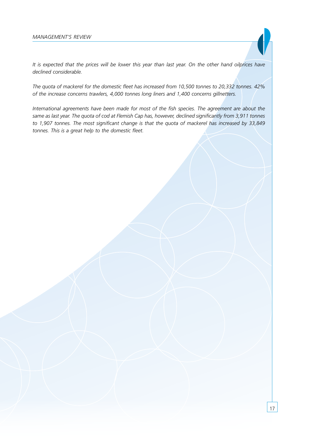*It is expected that the prices will be lower this year than last year. On the other hand oilprices have declined considerable.* 

*The quota of mackerel for the domestic fleet has increased from 10,500 tonnes to 20,332 tonnes. 42% of the increase concerns trawlers, 4,000 tonnes long liners and 1,400 concerns gillnetters.*

*International agreements have been made for most of the fish species. The agreement are about the same as last year. The quota of cod at Flemish Cap has, however, declined significantly from 3,911 tonnes to 1,907 tonnes. The most significant change is that the quota of mackerel has increased by 33,849 tonnes. This is a great help to the domestic fleet.*

17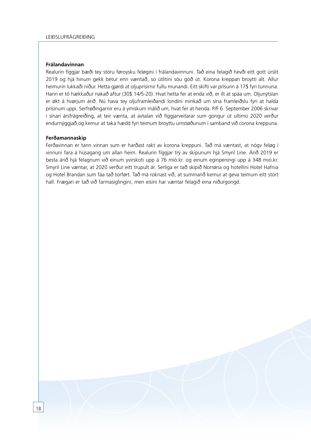#### **Frálandavinnan**

Realurin fíggjar bæði tey stóru føroysku feløgini í frálandavinnuni. Tað eina felagið hevði eitt gott úrslit 2019 og hjá hinum gekk betur enn væntað, so útlitini sóu góð út. Korona kreppan broytti alt. Allur heimurin lukkaði niður. Hetta gjørdi at oljuprísirnir fullu munandi. Eitt skifti var prísurin á 17\$ fyri tunnuna. Hann er tó hækkaður nakað aftur (30\$ 14/5-20). Hvat hetta fer at enda við, er ilt at spáa um. Oljunýtslan er økt á hvørjum árið. Nú hava tey oljuframleiðandi londini minkað um sína framleiðslu fyri at halda prísinum uppi. Serfrøðingarnir eru á ymiskum málið um, hvat fer at henda. P/F 6. September 2006 skrivar í sínari ársfrágreiðing, at teir vænta, at avtalan við fíggjarveitarar sum gongur út ultimo 2020 verður endurnýggjað,og kemur at taka hædd fyri teimum broyttu umstøðunum í samband við corona kreppuna.

#### **Ferðamannaskip**

18

Ferðavinnan er tann vinnan sum er harðast rakt av korona kreppuni. Tað má væntast, at nógv feløg í vinnuni fara á húsagang um allan heim. Realurin fíggjar trý av skipunum hjá Smyril Line. Árið 2019 er besta árið hjá felagnum við einum yvirskoti upp á 76 mió.kr. og einum eginpeningi upp á 348 mió.kr. Smyril Line væntar, at 2020 verður eitt trupult ár. Serliga er tað skipið Norrøna og hotellini Hotel Hafnia og Hotel Brandan sum fáa tað torført. Tað má roknast við, at summarið kemur at geva teimum eitt stórt hall. Frægari er tað við farmasiglingini, men eisini har væntar felagið eina niðurgongd.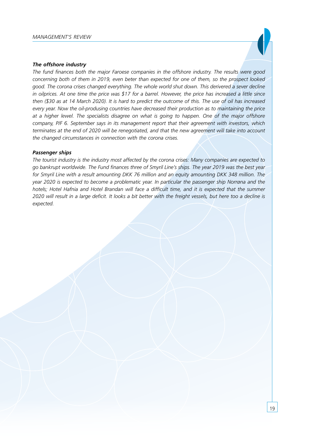

19

#### *The offshore industry*

*The fund finances both the major Faroese companies in the offshore industry. The results were good concerning both of them in 2019, even beter than expected for one of them, so the prospect looked good. The corona crises changed everything. The whole world shut down. This derivered a sever decline in oilprices. At one time the price was \$17 for a barrel. However, the price has increased a little since then (\$30 as at 14 March 2020). It is hard to predict the outcome of this. The use of oil has increased every year. Now the oil-produsing countries have decreased their production as to maintaining the price at a higher lewel. The specialists disagree on what is going to happen. One of the major offshore company, P/F 6. September says in its management report that their agreement with investors, which terminates at the end of 2020 will be renegotiated, and that the new agreement will take into account the changed circumstances in connection with the corona crises.*

#### *Passenger ships*

*The tourist industry is the industry most affected by the corona crises: Many companies are expected to go bankrupt worldwide. The Fund finances three of Smyril Line's ships. The year 2019 was the best year for Smyril Line with a result amounting DKK 76 million and an equity amounting DKK 348 million. The year 2020 is expected to become a problematic year. In particular the passenger ship Norrøna and the*  hotels; Hotel Hafnia and Hotel Brandan will face a difficult time, and it is expected that the summer *2020 will result in a large deficit. It looks a bit better with the freight vessels, but here too a decline is expected.*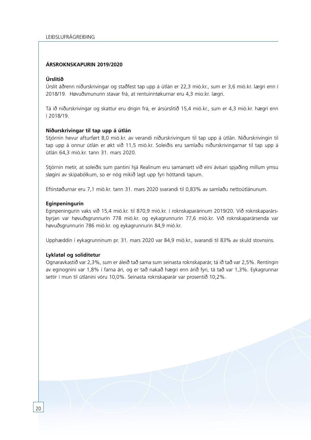## **ÁRSROKNSKAPURIN 2019/2020**

## **Úrslitið**

Úrslit áðrenn niðurskrivingar og staðfest tap upp á útlán er 22,3 mió.kr., sum er 3,6 mió.kr. lægri enn í 2018/19. Høvuðsmunurin stavar frá, at rentuinntøkurnar eru 4,3 mio.kr. lægri.

Tá ið niðurskrivingar og skattur eru drigin frá, er ársúrslitið 15,4 mió.kr., sum er 4,3 mió.kr. hægri enn í 2018/19.

## **Niðurskrivingar til tap upp á útlán**

Stjórnin hevur afturført 8,0 mió.kr. av verandi niðurskrivingum til tap upp á útlán. Niðurskrivingin til tap upp á onnur útlán er økt við 11,5 mió.kr. Soleiðis eru samlaðu niðurskrivingarnar til tap upp á útlán 64,3 mió.kr. tann 31. mars 2020.

Stjórnin metir, at soleiðis sum pantini hjá Realinum eru samansett við eini ávísari spjaðing millum ymsu sløgini av skipabólkum, so er nóg mikið lagt upp fyri hóttandi tapum.

Eftirstøðurnar eru 7,1 mió.kr. tann 31. mars 2020 svarandi til 0,83% av samlaðu nettoútlánunum.

## **Eginpeningurin**

Eginpeningurin vaks við 15,4 mió.kr. til 870,9 mió.kr. í roknskaparárinum 2019/20. Við roknskaparársbyrjan var høvuðsgrunnurin 778 mió.kr. og eykagrunnurin 77,6 mió.kr. Við roknskaparársenda var høvuðsgrunnurin 786 mió.kr. og eykagrunnurin 84,9 mió.kr.

Upphæddin í eykagrunninum pr. 31. mars 2020 var 84,9 mió.kr., svarandi til 83% av skuld stovnsins.

## **Lyklatøl og soliditetur**

Ognaravkastið var 2,3%, sum er áleið tað sama sum seinasta roknskaparár, tá ið tað var 2,5%. Rentingin av eginognini var 1,8% í farna ári, og er tað nakað hægri enn árið fyri, tá tað var 1,3%. Eykagrunnar settir í mun til útlánini vóru 10,0%. Seinasta roknskaparár var prosentið 10,2%.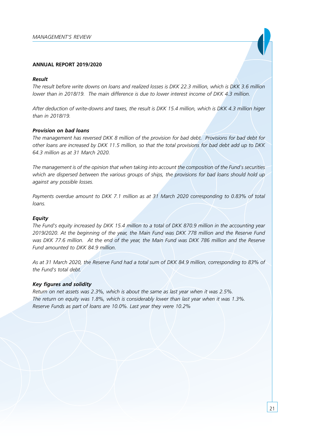

#### *Result*

*The result before write downs on loans and realized losses is DKK 22.3 million, which is DKK 3.6 million lower than in 2018/19. The main difference is due to lower interest income of DKK 4.3 million.*

*After deduction of write-downs and taxes, the result is DKK 15.4 million, which is DKK 4.3 million higer than in 2018/19.*

#### *Provision on bad loans*

*The management has reversed DKK 8 million of the provision for bad debt. Provisions for bad debt for other loans are increased by DKK 11.5 million, so that the total provisions for bad debt add up to DKK 64.3 million as at 31 March 2020.*

*The management is of the opinion that when taking into account the composition of the Fund's securities which are dispersed between the various groups of ships, the provisions for bad loans should hold up against any possible losses.* 

*Payments overdue amount to DKK 7.1 million as at 31 March 2020 corresponding to 0.83% of total loans.* 

#### *Equity*

*The Fund's equity increased by DKK 15.4 million to a total of DKK 870.9 million in the accounting year 2019/2020. At the beginning of the year, the Main Fund was DKK 778 million and the Reserve Fund was DKK 77.6 million. At the end of the year, the Main Fund was DKK 786 million and the Reserve Fund amounted to DKK 84.9 million.* 

*As at 31 March 2020, the Reserve Fund had a total sum of DKK 84.9 million, corresponding to 83% of the Fund's total debt.* 

21

#### *Key figures and solidity*

*Return on net assets was 2.3%, which is about the same as last year when it was 2.5%. The return on equity was 1.8%, which is considerably lower than last year when it was 1.3%. Reserve Funds as part of loans are 10.0%. Last year they were 10.2%*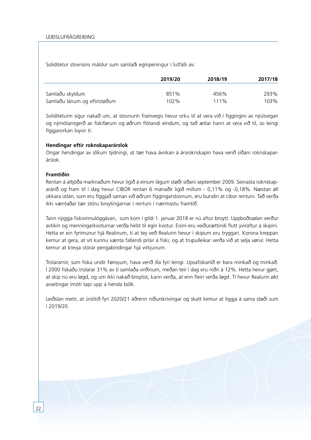Soliditetur stovnsins máldur sum samlaði eginpeningur í lutfalli av:

|                              | 2019/20 | 2018/19 | 2017/18 |
|------------------------------|---------|---------|---------|
| Samlaðu skyldum              | 851%    | 456%    | 293%    |
| Samlaðu lánum og eftirstøðum | 102%    | $111\%$ | 103%    |

Soliditeturin sigur nakað um, at stovnurin framvegis hevur orku til at vera við í fíggingini av nýútvegan og nýmótansgerð av fiskiførum og øðrum flótandi eindum, og tað ætlar hann at vera við til, so leingi fíggjarorkan loyvir tí.

## **Hendingar eftir roknskaparárslok**

Ongar hendingar av slíkum týdningi, at tær hava ávirkan á ársroknskapin hava verið síðani roknskaparárslok.

## **Framtíðin**

Rentan á altjóða marknaðum hevur ligið á einum lágum støði síðani september 2009. Seinasta roknskaparárið og fram til í dag hevur CIBOR rentan 6 mánaðir ligið millum - 0,11% og -0,18%. Næstan øll okkara útlán, sum eru fíggjað saman við øðrum fíggingarstovnum, eru bundin at cibor rentuni. Tað verða ikki væntaðar tær stóru broytingarnar í rentuni í nærmastu framtíð.

Tann nýggja fiskivinnulóggávan, sum kom í gildi 1. januar 2018 er nú aftur broytt. Uppboðssølan verður avtikin og menningarkvoturnar verða helst til egin kvotur. Eisini eru veiðurættindi flutt yviraftur á skipini. Hetta er ein fyrimunur hjá Realinum, tí at tey veð Realurin hevur í skipum eru tryggari. Korona kreppan kemur at gera, at vit kunnu vænta fallandi prísir á fiski, og at trupulleikar verða við at selja vørur. Hetta kemur at krevja stórar pengabindingar hjá virkjunum.

Trolararnir, sum fiska undir Føroyum, hava verið illa fyri leingi. Upsafiskaríið er bara minkað og minkað. Í 2000 fiskaðu trolarar 31% av tí samlaða virðinum, meðan teir í dag eru niðri á 12%. Hetta hevur gjørt, at skip nú eru løgd, og um ikki nakað broytist, kann verða, at enn fleiri verða løgd. Tí hevur Realurin økt avsetingar ímóti tapi upp á henda bólk.

Leiðslan metir, at úrslitið fyri 2020/21 áðrenn niðurskrivingar og skatt kemur at liggja á sama støði sum í 2019/20.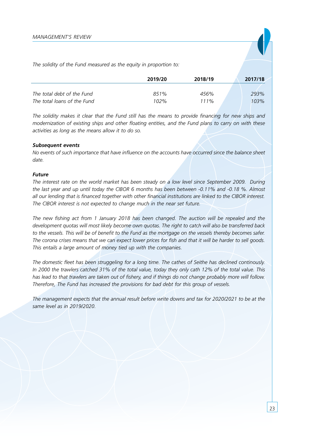*The solidity of the Fund measured as the equity in proportion to:*

|                             | 2019/20 | 2018/19 | 2017/18 |
|-----------------------------|---------|---------|---------|
|                             |         |         |         |
| The total debt of the Fund  | 851%    | 456%    | 293%    |
| The total loans of the Fund | 102%    | 111%    | 103%    |

*The solidity makes it clear that the Fund still has the means to provide financing for new ships and modernization of existing ships and other floating entities, and the Fund plans to carry on with these activities as long as the means allow it to do so.*

#### *Subsequent events*

*No events of such importance that have influence on the accounts have occurred since the balance sheet date.*

#### *Future*

*The interest rate on the world market has been steady on a low level since September 2009. During the last year and up until today the CIBOR 6 months has been between -0.11% and -0.18 %. Almost all our lending that is financed together with other financial institutions are linked to the CIBOR interest. The CIBOR interest is not expected to change much in the near set future.*

*The new fishing act from 1 January 2018 has been changed. The auction will be repealed and the development quotas will most likely become own quotas. The right to catch will also be transferred back to the vessels. This will be of benefit to the Fund as the mortgage on the vessels thereby becomes safer. The corona crises means that we can expect lower prices for fish and that it will be harder to sell goods. This entails a large amount of money tied up with the companies.*

*The domestic fleet has been struggeling for a long time. The cathes of Seithe has declined continously. In 2000 the trawlers catched 31% of the total value, today they only cath 12% of the total value. This has lead to that trawlers are taken out of fishery, and if things do not change probably more will follow. Therefore, The Fund has increased the provisions for bad debt for this group of vessels.*

*The management expects that the annual result before write downs and tax for 2020/2021 to be at the same level as in 2019/2020.*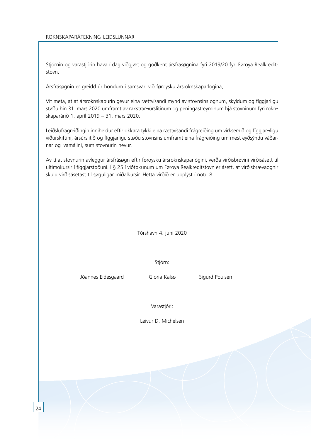Stjórnin og varastjórin hava í dag viðgjørt og góðkent ársfrásøgnina fyri 2019/20 fyri Føroya Realkreditstovn.

Ársfrásøgnin er greidd úr hondum í samsvari við føroysku ársroknskaparlógina,

Vit meta, at at ársroknskapurin gevur eina rættvísandi mynd av stovnsins ognum, skyldum og fíggjarligu støðu hin 31. mars 2020 umframt av rakstrar¬úrslitinum og peningastreyminum hjá stovninum fyri roknskaparárið 1. apríl 2019 – 31. mars 2020.

Leiðslufrágreiðingin inniheldur eftir okkara tykki eina rættvísandi frágreiðing um virksemið og fíggjar¬ligu viðurskiftini, ársúrslitið og fíggjarligu støðu stovnsins umframt eina frágreiðing um mest eyðsýndu váðarnar og ivamálini, sum stovnurin hevur.

Av tí at stovnurin avleggur ársfrásøgn eftir føroysku ársroknskaparlógini, verða virðisbrøvini virðisásett til ultimokursir í fíggjarstøðuni. Í § 25 í viðtøkunum um Føroya Realkreditstovn er ásett, at virðisbrævaognir skulu virðisásetast til søguligar miðalkursir. Hetta virðið er upplýst í notu 8.

Tórshavn 4. juni 2020

Stjórn:

Jóannes Eidesgaard Gloria Kalsø Sigurd Poulsen

24

Varastjóri:

Leivur D. Michelsen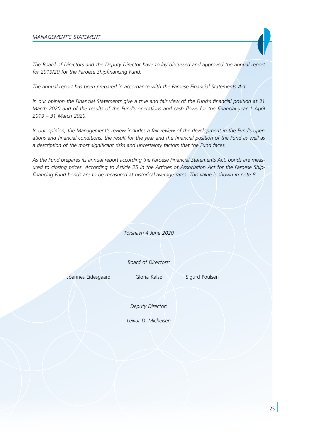### *MANAGEMENT'S STATEMENT*

*The Board of Directors and the Deputy Director have today discussed and approved the annual report for 2019/20 for the Faroese Shipfinancing Fund.* 

*The annual report has been prepared in accordance with the Faroese Financial Statements Act.*

*In our opinion the Financial Statements give a true and fair view of the Fund's financial position at 31 March 2020 and of the results of the Fund's operations and cash flows for the financial year 1 April 2019 – 31 March 2020.*

*In our opinion, the Management's review includes a fair review of the development in the Fund's operations and financial conditions, the result for the year and the financial position of the Fund as well as a description of the most significant risks and uncertainty factors that the Fund faces.* 

*As the Fund prepares its annual report according the Faroese Financial Statements Act, bonds are measured to closing prices. According to Article 25 in the Articles of Association Act for the Faroese Shipfinancing Fund bonds are to be measured at historical average rates. This value is shown in note 8.*

*Tórshavn 4 June 2020*

*Board of Directors:*

Jóannes Eidesgaard Gloria Kalsø Sigurd Poulsen

25

*Deputy Director:*

*Leivur D. Michelsen*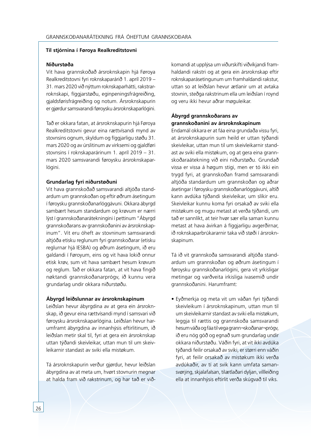#### **Til stjórnina í Føroya Realkreditstovni**

#### **Niðurstøða**

Vit hava grannskoðað ársroknskapin hjá Føroya Realkreditstovni fyri roknskaparárið 1. apríl 2019 – 31. mars 2020 við nýttum roknskaparhátti, rakstrarroknskapi, fíggjarstøðu, eginpeningsfrágreiðing, gjaldsførisfrágreiðing og notum. Ársroknskapurin er gjørdur samsvarandi føroysku ársroknskaparlógini.

Tað er okkara fatan, at ársroknskapurin hjá Føroya Realkreditstovni gevur eina rættvísandi mynd av stovnsins ognum, skyldum og fíggjarligu støðu 31. mars 2020 og av úrslitinum av virksemi og gjaldføri stovnsins í roknskaparárinum 1. apríl 2019 – 31. mars 2020 samsvarandi føroysku ársroknskaparlógini.

#### **Grundarlag fyri niðurstøðuni**

Vit hava grannskoðað samsvarandi altjóða standardum um grannskoðan og eftir øðrum ásetingum í føroysku grannskoðanarlóggávuni. Okkara ábyrgd sambært hesum standardum og krøvum er nærri lýst í grannskoðanarátekningini í pettinum "Ábyrgd grannskoðarans av grannskoðanini av ársroknskapinum". Vit eru óheft av stovninum samsvarandi altjóða etisku reglunum fyri grannskoðarar (etisku reglurnar hjá IESBA) og øðrum ásetingum, ið eru galdandi í Føroyum, eins og vit hava lokið onnur etisk krøv, sum vit hava sambært hesum krøvum og reglum. Tað er okkara fatan, at vit hava fingið nøktandi grannskoðanarprógv, ið kunnu vera grundarlag undir okkara niðurstøðu.

#### **Ábyrgd leiðslunnar av ársroknskapinum**

Leiðslan hevur ábyrgdina av at gera ein ársroknskap, ið gevur eina rættvísandi mynd í samsvari við føroysku ársroknskaparlógina. Leiðslan hevur harumframt ábyrgdina av innanhýsis eftirlitinum, ið leiðslan metir skal til, fyri at gera ein ársroknskap uttan týðandi skeivleikar, uttan mun til um skeivleikarnir standast av sviki ella mistøkum.

Tá ársroknskapurin verður gjørdur, hevur leiðslan ábyrgdina av at meta um, hvørt stovnurin megnar at halda fram við rakstrinum, og har tað er viðkomandi at upplýsa um viðurskifti viðvíkjandi framhaldandi rakstri og at gera ein ársroknskap eftir roknskaparásetingunum um framhaldandi rakstur, uttan so at leiðslan hevur ætlanir um at avtaka stovnin, steðga rakstrinum ella um leiðslan í roynd og veru ikki hevur aðrar møguleikar.

## **Ábyrgd grannskoðarans av grannskoðanini av ársroknskapinum**

Endamál okkara er at fáa eina grundaða vissu fyri, at ársroknskapurin sum heild er uttan týðandi skeivleikar, uttan mun til um skeivleikarnir standast av sviki ella mistøkum, og at gera eina grannskoðaraátekning við eini niðurstøðu. Grundað vissa er vissa á høgum stigi, men er tó ikki ein trygd fyri, at grannskoðan framd samsvarandi altjóða standardum um grannskoðan og aðrar ásetingar í føroysku grannskoðanarlóggávuni, altíð kann avdúka týðandi skeivleikar, um slíkir eru. Skeivleikar kunnu koma fyri orsakað av sviki ella mistøkum og mugu metast at verða týðandi, um tað er sannlíkt, at teir hvør sær ella saman kunnu metast at hava ávirkan á fíggjarligu avgerðirnar, ið roknskaparbrúkararnir taka við støði í ársroknskapinum.

Tá ið vit grannskoða samsvarandi altjóða standardum um grannskoðan og øðrum ásetingum í føroysku grannskoðanarlógini, gera vit yrkisligar metingar og varðveita irkisliga ivasemið undir grannskoðanini. Harumframt:

• Eyðmerkja og meta vit um váðan fyri týðandi skeivleikum í ársroknskapinum, uttan mun til um skeivleikarnir standast av sviki ella mistøkum, leggja til rættis og grannskoða samsvarandi hesum váða og fáa til vega grann¬skoðanar¬prógv, ið eru nóg góð og egnað sum grundarlag undir okkara niðurstøðu. Váðin fyri, at vit ikki avdúka týðandi feilir orsakað av sviki, er størri enn váðin fyri, at feilir orsakað av mistøkum ikki verða avdúkaðir, av tí at svik kann umfata samansvørjing, skjalafalsan, tilætlaðari dyljan, villleiðing ella at innanhýsis eftirlit verða skúgvað til viks.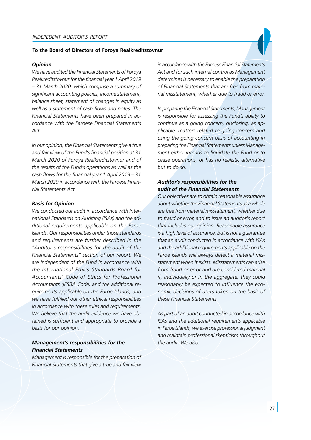#### **To the Board of Directors of Føroya Realkreditstovnur**

#### *Opinion*

*We have audited the Financial Statements of Føroya Realkreditstovnur for the financial year 1 April 2019 – 31 March 2020, which comprise a summary of significant accounting policies, income statement, balance sheet, statement of changes in equity as well as a statement of cash flows and notes. The Financial Statements have been prepared in accordance with the Faroese Financial Statements Act.* 

*In our opinion, the Financial Statements give a true and fair view of the Fund's financial position at 31 March 2020 of Føroya Realkreditstovnur and of the results of the Fund's operations as well as the cash flows for the financial year 1 April 2019 – 31 March 2020 in accordance with the Faroese Financial Statements Act.*

#### *Basis for Opinion*

*We conducted our audit in accordance with International Standards on Auditing (ISAs) and the additional requirements applicable on the Faroe Islands. Our responsibilities under those standards and requirements are further described in the "Auditor's responsibilities for the audit of the Financial Statements" section of our report. We are independent of the Fund in accordance with the International Ethics Standards Board for Accountants' Code of Ethics for Professional Accountants (IESBA Code) and the additional requirements applicable on the Faroe Islands, and we have fulfilled our other ethical responsibilities in accordance with these rules and requirements. We believe that the audit evidence we have obtained is sufficient and appropriate to provide a basis for our opinion.*

## *Management's responsibilities for the Financial Statements*

*Management is responsible for the preparation of Financial Statements that give a true and fair view*  *in accordance with the Faroese Financial Statements Act and for such internal control as Management determines is necessary to enable the preparation of Financial Statements that are free from material misstatement, whether due to fraud or error.*

*In preparing the Financial Statements, Management is responsible for assessing the Fund's ability to continue as a going concern, disclosing, as applicable, matters related to going concern and using the going concern basis of accounting in preparing the Financial Statements unless Management either intends to liquidate the Fund or to cease operations, or has no realistic alternative but to do so.*

## *Auditor's responsibilities for the audit of the Financial Statements*

*Our objectives are to obtain reasonable assurance about whether the Financial Statements as a whole are free from material misstatement, whether due to fraud or error, and to issue an auditor's report that includes our opinion. Reasonable assurance is a high level of assurance, but is not a guarantee that an audit conducted in accordance with ISAs and the additional requirements applicable on the Faroe Islands will always detect a material misstatement when it exists. Misstatements can arise from fraud or error and are considered material if, individually or in the aggregate, they could reasonably be expected to influence the economic decisions of users taken on the basis of these Financial Statements*

*As part of an audit conducted in accordance with ISAs and the additional requirements applicable in Faroe Islands, we exercise professional judgment and maintain professional skepticism throughout the audit. We also:*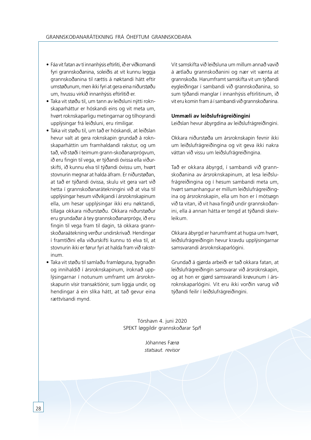- Fáa vit fatan av tí innanhýsis eftirliti, ið er viðkomandi fyri grannskoðanina, soleiðis at vit kunnu leggja grannskoðanina til rættis á nøktandi hátt eftir umstøðunum, men ikki fyri at gera eina niðurstøðu um, hvussu virkið innanhýsis eftirlitið er.
- Taka vit støðu til, um tann av leiðsluni nýtti roknskaparháttur er hóskandi eins og vit meta um, hvørt roknskaparligu metingarnar og tilhoyrandi upplýsingar frá leiðsluni, eru rímiligar.
- Taka vit støðu til, um tað er hóskandi, at leiðslan hevur valt at gera roknskapin grundað á roknskaparháttin um framhaldandi rakstur, og um tað, við støði í teimum grann-skoðanarprógvum, ið eru fingin til vega, er týðandi óvissa ella viðurskifti, ið kunnu elva til týðandi óvissu um, hvørt stovnurin megnar at halda áfram. Er niðurstøðan, at tað er týðandi óvissa, skulu vit gera vart við hetta í grannskoðanarátekningini við at vísa til upplýsingar hesum viðvíkjandi í ársroknskapinum ella, um hesar upplýsingar ikki eru nøktandi, tillaga okkara niðurstøðu. Okkara niðurstøður eru grundaðar á tey grannskoðanarprógv, ið eru fingin til vega fram til dagin, tá okkara grannskoðaraátekning verður undirskrivað. Hendingar í framtíðini ella viðurskifti kunnu tó elva til, at stovnurin ikki er førur fyri at halda fram við rakstrinum.
- Taka vit støðu til samlaðu framløguna, bygnaðin og innihaldið í ársroknskapinum, íroknað upplýsingarnar í notunum umframt um ársroknskapurin vísir transaktiónir, sum liggja undir, og hendingar á ein slíka hátt, at tað gevur eina rættvísandi mynd.

Vit samskifta við leiðsluna um millum annað vavið á ætlaðu grannskoðanini og nær vit vænta at grannskoða. Harumframt samskifta vit um týðandi eygleiðingar í sambandi við grannskoðanina, so sum týðandi manglar í innanhýsis eftirlitinum, ið vit eru komin fram á í sambandi við grannskoðanina.

#### **Ummæli av leiðslufrágreiðingini**

Leiðslan hevur ábyrgdina av leiðslufrágreiðingini.

Okkara niðurstøða um ársroknskapin fevnir ikki um leiðslufrágreiðingina og vit geva ikki nakra váttan við vissu um leiðslufrágreiðingina.

Tað er okkara ábyrgd, í sambandi við grannskoðanina av ársroknskapinum, at lesa leiðslufrágreiðingina og í hesum sambandi meta um, hvørt samanhangur er millum leiðslufrágreiðingina og ársroknskapin, ella um hon er í mótsøgn við ta vitan, ið vit hava fingið undir grannskoðanini, ella á annan hátta er tengd at týðandi skeivleikum.

Okkara ábyrgd er harumframt at hugsa um hvørt, leiðslufrágreiðingin hevur kravdu upplýsingarnar samsvarandi ársroknskaparlógini.

Grundað á gjørda arbeiði er tað okkara fatan, at leiðslufrágreiðingin samsvarar við ársroknskapin, og at hon er gjørd samsvarandi krøvunum í ársroknskaparlógini. Vit eru ikki vorðin varug við týðandi feilir í leiðslufrágreiðingini.

Tórshavn 4. juni 2020 SPEKT løggildir grannskoðarar Sp/f

> Jóhannes Færø *statsaut. revisor*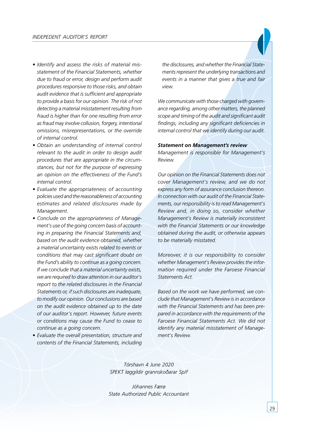- *• Identify and assess the risks of material misstatement of the Financial Statements, whether due to fraud or error, design and perform audit procedures responsive to those risks, and obtain audit evidence that is sufficient and appropriate to provide a basis for our opinion. The risk of not detecting a material misstatement resulting from fraud is higher than for one resulting from error as fraud may involve collusion, forgery, intentional omissions, misrepresentations, or the override of internal control.*
- *• Obtain an understanding of internal control relevant to the audit in order to design audit procedures that are appropriate in the circumstances, but not for the purpose of expressing an opinion on the effectiveness of the Fund's internal control.*
- *• Evaluate the appropriateness of accounting policies used and the reasonableness of accounting estimates and related disclosures made by Management.*
- *• Conclude on the appropriateness of Management's use of the going concern basis of accounting in preparing the Financial Statements and, based on the audit evidence obtained, whether a material uncertainty exists related to events or conditions that may cast significant doubt on the Fund's ability to continue as a going concern. If we conclude that a material uncertainty exists, we are required to draw attention in our auditor's report to the related disclosures in the Financial Statements or, if such disclosures are inadequate, to modify our opinion. Our conclusions are based on the audit evidence obtained up to the date of our auditor's report. However, future events or conditions may cause the Fund to cease to continue as a going concern.*
- *• Evaluate the overall presentation, structure and contents of the Financial Statements, including*

*the disclosures, and whether the Financial Statements represent the underlying transactions and events in a manner that gives a true and fair view.*

*We communicate with those charged with governance regarding, among other matters, the planned scope and timing of the audit and significant audit findings, including any significant deficiencies in internal control that we identify during our audit.*

#### *Statement on Management's review*

*Management is responsible for Management's Review.*

*Our opinion on the Financial Statements does not cover Management's review, and we do not express any form of assurance conclusion thereon. In connection with our audit of the Financial Statements, our responsibility is to read Management's Review and, in doing so, consider whether Management's Review is materially inconsistent with the Financial Statements or our knowledge obtained during the audit, or otherwise appears to be materially misstated.*

*Moreover, it is our responsibility to consider whether Management's Review provides the information required under the Faroese Financial Statements Act.*

*Based on the work we have performed, we conclude that Management's Review is in accordance with the Financial Statements and has been prepared in accordance with the requirements of the Faroese Financial Statements Act. We did not identify any material misstatement of Management's Review.*

*Tórshavn 4 June 2020 SPEKT løggildir grannskoðarar Sp/f*

*Jóhannes Færø State Authorized Public Accountant*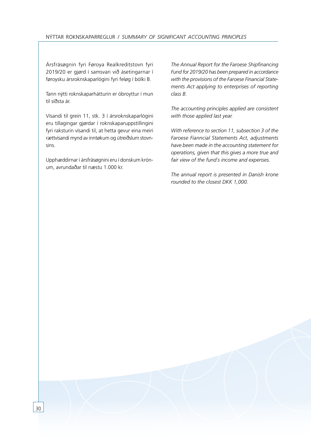Ársfrásøgnin fyri Føroya Realkreditstovn fyri 2019/20 er gjørd í samsvari við ásetingarnar í føroysku ársroknskaparlógini fyri feløg í bólki B.

Tann nýtti roknskaparhátturin er óbroyttur í mun til síðsta ár.

Vísandi til grein 11, stk. 3 í ársroknskaparlógini eru tillagingar gjørdar í roknskaparuppstillingini fyri raksturin vísandi til, at hetta gevur eina meiri rættvísandi mynd av inntøkum og útreiðslum stovnsins.

Upphæddirnar í ársfrásøgnini eru í donskum krónum, avrundaðar til næstu 1.000 kr.

30

*The Annual Report for the Faroese Shipfinancing Fund for 2019/20 has been prepared in accordance with the provisions of the Faroese Financial Statements Act applying to enterprises of reporting class B.*

*The accounting principles applied are consistent with those applied last year.*

*With reference to section 11, subsection 3 of the Faroese Fianncial Statements Act, adjustments have been made in the accounting statement for operations, given that this gives a more true and fair view of the fund´s income and expenses.* 

*The annual report is presented in Danish krone rounded to the closest DKK 1,000.*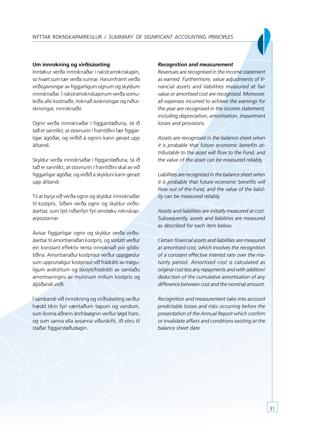#### **Um innrokning og virðisáseting**

Inntøkur verða innroknaðar í rakstrarroknskapin, so hvørt sum tær verða vunnar. Harumframt verða virðisjavningar av fíggjarligum ognum og skyldum innroknaðar. Í rakstrarroknskapinum verða somuleiðis allir kostnaðir, íroknað avskrivingar og niðurskrivingar, innroknaðir.

Ognir verða innroknaðar í fíggjarstøðuna, tá ið tað er sannlíkt, at stovnurin í framtíðini fær fíggjarligar ágóðar, og virðið á ognini kann gerast upp álítandi.

Skyldur verða innroknaðar í fíggjarstøðuna, tá ið tað er sannlíkt, at stovnurin í framtíðini skal av við fíggjarligar ágóðar, og virðið á skylduni kann gerast upp álítandi.

Til at byrja við verða ognir og skyldur innroknaðar til kostprís. Síðani verða ognir og skyldur virðisásettar, sum lýst niðanfyri fyri einstøku roknskaparpostarnar.

Ávísar fíggjarligar ognir og skyldur verða virðisásettar til amortiseraðan kostprís, og sostatt verður ein konstant effektiv renta innroknað yvir gildistíðina. Amortiseraður kostprísur verður uppgjørdur sum upprunaligur kostprísur við frádrátti av møguligum avdráttum og ískoyti/frádrátti av samlaðu amortiseringini av muninum millum kostprís og áljóðandi virði.

Í sambandi við innrokning og virðisáseting verður hædd tikin fyri væntaðum tapum og vandum, sum íkoma áðrenn ársfrásøgnin verður løgd fram, og sum sanna ella avsanna viðurskifti, ið vóru til staðar fíggjarstøðudagin.

#### *Recognition and measurement*

*Revenues are recognised in the income statement as earned. Furthermore, value adjustments of financial assets and liabilities measured at fair value or amortised cost are recognised. Moreover, all expenses incurred to achieve the earnings for the year are recognised in the income statement, including depreciation, amortisation, impairment losses and provisions.*

*Assets are recognised in the balance sheet when it is probable that future economic benefits attributable to the asset will flow to the Fund, and the value of the asset can be measured reliably.*

*Liabilities are recognised in the balance sheet when it is probable that future economic benefits will flow out of the Fund, and the value of the liability can be measured reliably.*

*Assets and liabilities are initially measured at cost. Subsequently, assets and liabilities are measured as described for each item below.*

*Certain financial assets and liabilities are measured at amortised cost, which involves the recognition of a constant effective interest rate over the maturity period. Amortised cost is calculated as original cost less any repayments and with addition/ deduction of the cumulative amortisation of any difference between cost and the nominal amount.*

*Recognition and measurement take into account predictable losses and risks occurring before the presentation of the Annual Report which confirm or invalidate affairs and conditions existing at the balance sheet date.*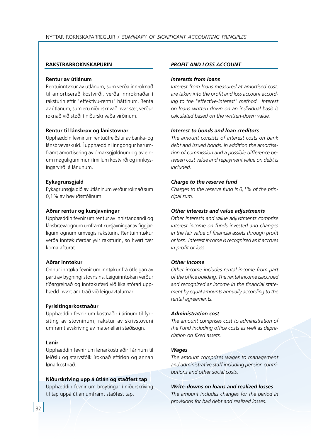#### **RAKSTRARROKNSKAPURIN**

#### **Rentur av útlánum**

Rentuinntøkur av útlánum, sum verða innroknað til amortiserað kostvirði, verða innroknaðar í raksturin eftir "effektivu-rentu" háttinum. Renta av útlánum, sum eru niðurskrivað hvør sær, verður roknað við støði í niðurskrivaða virðinum.

#### **Rentur til lánsbrøv og lánistovnar**

Upphæddin fevnir um rentuútreiðslur av banka- og lánsbrævaskuld. Í upphæddini inngongur harumframt amortisering av ómaksgjøldnum og av einum møguligum muni ímillum kostvirði og innloysingarvirði á lánunum.

#### **Eykagrunsgjald**

Eykagrunsgjaldið av útláninum verður roknað sum 0,1% av høvuðsstólinum.

#### **Aðrar rentur og kursjavningar**

Upphæddin fevnir um rentur av innistandandi og lánsbrævaognum umframt kursjavningar av fíggjarligum ognum umvegis raksturin. Rentuinntøkur verða inntøkuførdar yvir raksturin, so hvørt tær koma afturat.

#### **Aðrar inntøkur**

Onnur inntøka fevnir um inntøkur frá útleigan av parti av bygningi stovnsins. Leiguinntøkan verður tíðargreinað og inntøkuførd við líka stórari upphædd hvørt ár í tráð við leiguavtalurnar.

#### **Fyrisitingarkostnaður**

Upphæddin fevnir um kostnaðir í árinum til fyrisiting av stovninum, rakstur av skrivstovuni umframt avskriving av materiellari støðisogn.

#### **Lønir**

Upphæddin fevnir um lønarkostnaðir í árinum til leiðslu og starvsfólk íroknað eftirløn og annan lønarkostnað.

#### **Niðurskriving upp á útlán og staðfest tap**

Upphæddin fevnir um broytingar í niðurskriving til tap uppá útlán umframt staðfest tap.

#### *PROFIT AND LOSS ACCOUNT*

#### *Interests from loans*

*Interest from loans measured at amortised cost, are taken into the profit and loss account according to the "effective-interest" method. Interest on loans written down on an individual basis is calculated based on the written-down value.*

#### *Interest to bonds and loan creditors*

*The amount consists of interest costs on bank debt and issued bonds. In addition the amortisation of commission and a possible difference between cost value and repayment value on debt is included.*

#### *Charge to the reserve fund*

*Charges to the reserve fund is 0,1% of the principal sum.*

#### *Other interests and value adjustments*

*Other interests and value adjustments comprise interest income on funds invested and changes in the fair value of financial assets through profit or loss. Interest income is recognised as it accrues in profit or loss.*

#### *Other income*

*Other income includes rental income from part of the office building. The rental income isaccrued and recognized as income in the financial statement by equal amounts annually according to the rental agreements.* 

#### *Administration cost*

*The amount comprises cost to administration of the Fund including office costs as well as depreciation on fixed assets.*

#### *Wages*

*The amount comprises wages to management and administrative staff including pension contributions and other social costs.*

#### *Write-downs on loans and realized losses*

*The amount includes changes for the period in provisions for bad debt and realized losses.*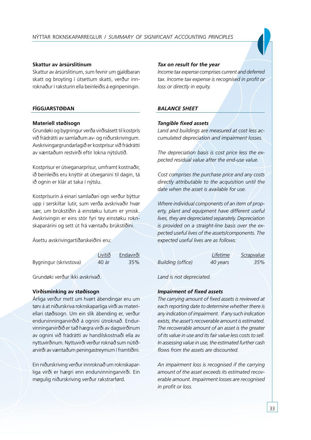## **Skattur av ársúrslitinum**

Skattur av ársúrslitinum, sum fevnir um gjaldbaran skatt og broyting í útsettum skatti, verður innroknaður í raksturin ella beinleiðis á eginpeningin.

## **FÍGGJARSTØÐAN**

## **Materiell støðisogn**

Grundøki og bygningur verða virðisásett til kostprís við frádrátti av samlaðum av- og niðurskrivingum. Avskrivingargrundarlagið er kostprísur við frádrátti av væntaðum restvirði eftir lokna nýtslutíð.

Kostprísur er útveganarprísur, umframt kostnaðir, ið beinleiðis eru knýttir at útveganini til dagin, tá ið ognin er klár at taka í nýtslu.

Kostprísurin á einari samlaðari ogn verður býttur upp í serskiltar lutir, sum verða avskrivaðir hvør sær, um brúkstíðin á einstøku lutum er ymisk. Avskrivingin er eins stór fyri tey einstøku roknskaparárini og sett út frá væntaðu brúkstíðini.

Ásettu avskrivingartíðarskeiðini eru:

|                        | Livitíð | Endavirði |
|------------------------|---------|-----------|
| Bygningur (skrivstova) | 40 ár   | 35%       |

Grundøki verður ikki avskrivað.

## **Virðisminking av støðisogn**

Árliga verður mett um hvørt ábendingar eru um tørv á at niðurskriva roknskaparliga virði av materiellari støðisogn. Um ein slík ábending er, verður endurvinningarvirðið á ognini útroknað. Endurvinningarvirðið er tað hægra virði av dagsvirðinum av ognini við frádrátti av handilskostnaði ella av nyttuvirðinum. Nyttuvirði verður roknað sum nútíðarvirði av væntaðum peningastreymum í framtíðini.

Ein niðurskriving verður innroknað um roknskaparliga virði er hægri enn endurvinningarvirði. Ein møgulig niðurskriving verður rakstrarførd.

## *Tax on result for the year*

*Income tax expense comprises current and deferred tax. Income tax expense is recognised in profit or loss or directly in equity.*

## *BALANCE SHEET*

## *Tangible fixed assets*

*Land and buildings are measured at cost less accumulated depreciation and impairment losses.*

*The depreciation basis is cost price less the expected residual value after the end-use value.*

*Cost comprises the purchase price and any costs directly attributable to the acquisition until the date when the asset is available for use.* 

*Where individual components of an item of property, plant and equipment have different useful lives, they are depreciated separately. Depreciation is provided on a straight-line basis over the expected useful lives of the assets/components. The expected useful lives are as follows:*

|                          | Lifetime | Scrapvalue |
|--------------------------|----------|------------|
| <b>Building (office)</b> | 40 years | 35%        |

*Land is not depreciated.*

## *Impairment of fixed assets*

*The carrying amount of fixed assets is reviewed at each reporting date to determine whether there is any indication of impairment. If any such indication exists, the asset's recoverable amount is estimated. The recoverable amount of an asset is the greater of its value in use and its fair value less costs to sell. In assessing value in use, the estimated further cash flows from the assets are discounted.* 

*An impairment loss is recognised if the carrying amount of the asset exceeds its estimated recoverable amount. Impairment losses are recognised in profit or loss.*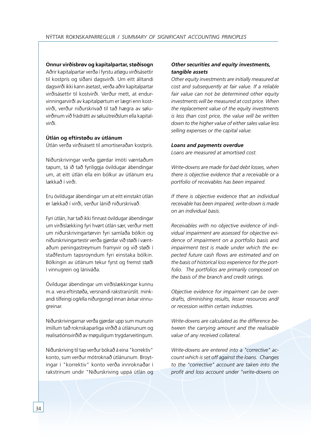#### **Onnur virðisbrøv og kapitalpartar, støðisogn**

Aðrir kapitalpartar verða í fyrstu atløgu virðisásettir til kostprís og síðani dagsvirði. Um eitt álítandi dagsvirði ikki kann ásetast, verða aðrir kapitalpartar virðisásettir til kostvirði. Verður mett, at endurvinningarvirði av kapitalpørtum er lægri enn kostvirði, verður niðurskrivað til tað hægra av søluvirðinum við frádrátti av søluútreiðslum ella kapitalvirði.

#### **Útlán og eftirstøðu av útlánum**

Útlán verða virðisásett til amortiseraðan kostprís.

Niðurskrivingar verða gjørdar ímóti væntaðum tapum, tá ið tað fyriliggja óvildugar ábendingar um, at eitt útlán ella ein bólkur av útlánum eru lækkað í virði.

Eru óvildugar ábendingar um at eitt einstakt útlán er lækkað í virði, verður lánið niðurskrivað.

Fyri útlán, har tað ikki finnast óvildugar ábendingar um virðislækking fyri hvørt útlán sær, verður mett um niðurskrivingartørvin fyri samlaða bólkin og niðurskrivingartestir verða gjørdar við støði í væntaðum peningastreymum framyvir og við støði í staðfestum tapsroyndum fyri einstaka bólkin. Bólkingin av útlánum tekur fyrst og fremst støði í vinnugrein og lániváða.

Óvildugar ábendingar um virðislækkingar kunnu m.a. vera eftirstøða, versnandi rakstrarúrslit. minkandi tilfeingi og/ella niðurgongd innan ávísar vinnugreinar.

Niðurskrivingarnar verða gjørdar upp sum munurin ímillum tað roknskaparliga virðið á útlánunum og realisatiónsvirðið av møguligum trygdarveitingum.

Niðurskriving til tap verður bókað á eina "korrektiv" konto, sum verður mótroknað útlánunum. Broytingar í "korrektiv" konto verða innroknaðar í rakstrinum undir "Niðurskriving uppá útlán og

## *Other securities and equity investments, tangible assets*

*Other equity investments are initially measured at cost and subsequently at fair value. If a reliable fair value can not be determined other equity investments will be measured at cost price. When the replacement value of the equity investments is less than cost price, the value will be written down to the higher value of either sales value less selling expenses or the capital value.*

#### *Loans and payments overdue*

*Loans are measured at amortised cost.* 

*Write-downs are made for bad debt losses, when there is objective evidence that a receivable or a portfolio of receivables has been impaired.* 

*If there is objective evidence that an individual receivable has been impaired, write-down is made on an individual basis.* 

*Receivables with no objective evidence of individual impairment are assessed for objective evidence of impairment on a portfolio basis and impairment test is made under which the expected future cash flows are estimated and on the basis of historical loss experience for the portfolio. The portfolios are primarily composed on the basis of the branch and credit ratings.*

*Objective evidence for impairment can be overdrafts, diminishing results, lesser resources and/ or recession within certain industries.*

*Write-downs are calculated as the difference between the carrying amount and the realisable value of any received collateral.*

*Write-downs are entered into a "corrective" account which is set off against the loans. Changes to the "corrective" account are taken into the profit and loss account under "write-downs on*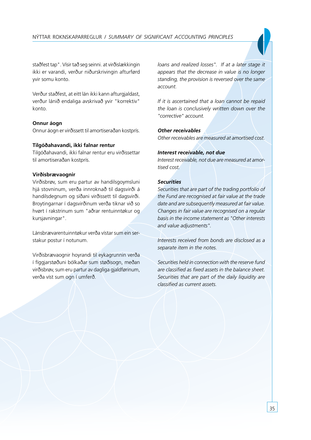staðfest tap". Vísir tað seg seinni. at virðislækkingin ikki er varandi, verður niðurskrivingin afturførd yvir somu konto.

Verður staðfest, at eitt lán ikki kann afturgjaldast, verður lánið endaliga avskrivað yvir "korrektiv" konto.

## **Onnur áogn**

Onnur áogn er virðissett til amortiseraðan kostprís.

#### **Tilgóðahavandi, ikki falnar rentur**

Tilgóðahavandi, ikki falnar rentur eru virðissettar til amortiseraðan kostprís.

#### **Virðisbrævaognir**

Virðisbrøv, sum eru partur av handilsgoymsluni hjá stovninum, verða innroknað til dagsvirði á handilsdegnum og síðani virðissett til dagsvirði. Broytingarnar í dagsvirðinum verða tiknar við so hvørt í rakstrinum sum "aðrar rentuinntøkur og kursjavningar".

Lánsbrævarentuinntøkur verða vístar sum ein serstakur postur í notunum.

Virðisbrævaognir hoyrandi til eykagrunnin verða í fíggjarstøðuni bólkaðar sum støðisogn, meðan virðisbrøv, sum eru partur av dagliga gjaldførinum, verða víst sum ogn í umferð.

*loans and realized losses". If at a later stage it appears that the decrease in value is no longer standing, the provision is reversed over the same account.*

*If it is ascertained that a loan cannot be repaid the loan is conclusively written down over the "corrective" account.*

#### *Other receivables*

*Other receivables are measured at amortised cost.*

#### *Interest receivable, not due*

*Interest receivable, not due are measured at amortised cost.*

#### *Securities*

*Securities that are part of the trading portfolio of the Fund are recognised at fair value at the trade date and are subsequently measured at fair value. Changes in fair value are recognised on a regular basis in the income statement as "Other interests and value adjustments".* 

*Interests received from bonds are disclosed as a separate item in the notes.*

*Securities held in connection with the reserve fund are classified as fixed assets in the balance sheet. Securities that are part of the daily liquidity are classified as current assets.*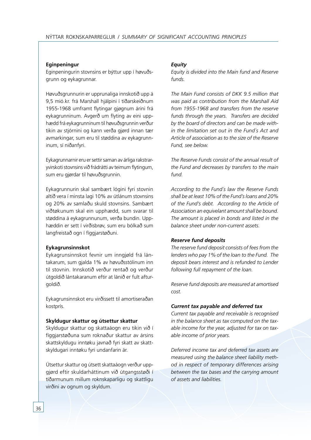#### **Eginpeningur**

Eginpeningurin stovnsins er býttur upp í høvuðsgrunn og eykagrunnar.

Høvuðsgrunnurin er upprunaliga innskotið upp á 9,5 mió.kr. frá Marshall hjálpini í tíðarskeiðnum 1955-1968 umframt flytingar gjøgnum árini frá eykagrunninum. Avgerð um flyting av eini upphædd frá eykagrunninum til høvuðsgrunnin verður tikin av stjórnini og kann verða gjørd innan tær avmarkingar, sum eru til støddina av eykagrunninum, sí niðanfyri.

Eykagrunnarnir eru er settir saman av árliga rakstraryvirskoti stovnsins við frádrátti av teimum flytingum, sum eru gjørdar til høvuðsgrunnin.

Eykagrunnurin skal sambært lógini fyri stovnin altíð vera í minsta lagi 10% av útlánum stovnsins og 20% av samlaðu skuld stovnsins. Sambært viðtøkunum skal ein upphædd, sum svarar til støddina á eykagrunnunum, verða bundin. Upphæddin er sett í virðisbrøv, sum eru bólkað sum langfreistað ogn í fíggjarstøðuni.

#### **Eykagrunsinnskot**

Eykagrunsinnskot fevnir um inngjøld frá lántakarum, sum gjalda 1% av høvuðsstólinum inn til stovnin. Innskotið verður rentað og verður útgoldið lántakaranum eftir at lánið er fult afturgoldið.

Eykagrunsinnskot eru virðissett til amortiseraðan kostprís.

#### **Skyldugur skattur og útsettur skattur**

Skyldugur skattur og skattaáogn eru tikin við í fíggjarstøðuna sum roknaður skattur av ársins skattskyldugu inntøku javnað fyri skatt av skattskyldugari inntøku fyri undanfarin ár.

Útsettur skattur og útsett skattaáogn verður uppgjørd eftir skuldarháttinum við útgangsstøði í tíðarmunum millum roknskaparligu og skattligu virðini av ognum og skyldum.

#### *Equity*

*Equity is divided into the Main fund and Reserve funds.*

*The Main Fund consists of DKK 9.5 million that was paid as contribution from the Marshall Aid from 1955-1968 and transfers from the reserve funds through the years. Transfers are decided by the board of directors and can be made within the limitation set out in the Fund´s Act and Article of association as to the size of the Reserve Fund, see below.*

*The Reserve Funds consist of the annual result of the Fund and decreases by transfers to the main fund.* 

*According to the Fund´s law the Reserve Funds shall be at least 10% of the Fund's loans and 20% of the Fund's debt. According to the Article of Association an equivelant amount shall be bound. The amount is placed in bonds and listed in the balance sheet under non-current assets.* 

#### *Reserve fund deposits*

*The reserve fund deposit consists of fees from the lenders who pay 1% of the loan to the Fund. The deposit bears interest and is refunded to Lender following full repayment of the loan.*

*Reserve fund deposits are measured at amortised cost.*

#### *Current tax payable and deferred tax*

*Current tax payable and receivable is recognised in the balance sheet as tax computed on the taxable income for the year, adjusted for tax on taxable income of prior years.* 

*Deferred income tax and deferred tax assets are measured using the balance sheet liability method in respect of temporary differences arising between the tax bases and the carrying amount of assets and liabilities.*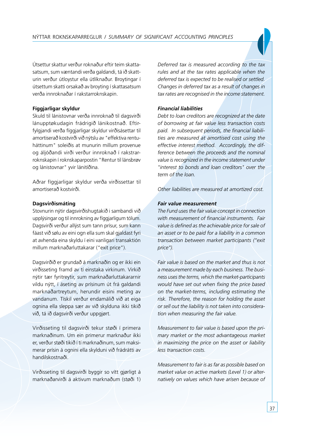Útsettur skattur verður roknaður eftir teim skattasatsum, sum væntandi verða galdandi, tá ið skatturin verður útloystur ella útlíknaður. Broytingar í útsettum skatti orsakað av broyting í skattasatsum verða innroknaðar í rakstarroknskapin.

### **Fíggjarligar skyldur**

Skuld til lánistovnar verða innroknað til dagsvirði lánupptøkudagin frádrigið lánikostnað. Eftirfylgjandi verða fíggjarligar skyldur virðisásettar til amortiserað kostvirði við nýtslu av "effektiva rentuháttinum" soleiðis at munurin millum provenue og áljóðandi virði verður innroknað í rakstrarroknskapin í roknskaparpostin "Rentur til lánsbrøv og lánistovnar" yvir lánitíðina.

Aðrar fíggjarligar skyldur verða virðissettar til amortiserað kostvirði.

#### **Dagsvirðismáting**

Stovnurin nýtir dagsvirðishugtakið i sambandi við upplýsingar og til innrokning av fíggjarligum tólum. Dagsvirði verður allýst sum tann prísur, sum kann fáast við sølu av eini ogn ella sum skal gjaldast fyri at avhenda eina skyldu í eini vanligari transaktión millum marknaðarluttakarar ("exit price").

Dagsvirðið er grundað á marknaðin og er ikki ein virðisseting framd av tí einstaka virkinum. Virkið nýtir tær fyritreytir, sum marknaðarluttakararnir vildu nýtt, í áseting av prísinum út frá galdandi marknaðartreytum, herundir eisini meting av vandanum. Tískil verður endamálið við at eiga ognina ella sleppa sær av við skylduna ikki tikið við, tá ið dagsvirði verður uppgjørt.

Virðisseting til dagsvirði tekur støði í primera marknaðinum. Um ein primerur marknaður ikki er, verður støði tikið í tí marknaðinum, sum maksimerar prísin á ognini ella skylduni við frádrátti av handilskostnaði.

Virðisseting til dagsvirði byggir so vítt gjørligt á marknaðarvirði á aktivum marknaðum (støði 1) *Deferred tax is measured according to the tax rules and at the tax rates applicable when the deferred tax is expected to be realised or settled. Changes in deferred tax as a result of changes in tax rates are recognised in the income statement.*

#### *Financial liabilities*

*Debt to loan creditors are recognized at the date of borrowing at fair value less transaction costs paid. In subsequent periods, the financial liabilities are measured at amortised cost using the effective interest method. Accordingly, the difference between the proceeds and the nominal value is recognized in the income statement under "interest to bonds and loan creditors" over the term of the loan.* 

*Other liabilities are measured at amortized cost.* 

#### *Fair value measurement*

*The Fund uses the fair value concept in connection with measurement of financial instruments. Fair value is defined as the achievable price for sale of an asset or to be paid for a liability in a common transaction between market participants ("exit price").*

*Fair value is based on the market and thus is not a measurement made by each business. The business uses the terms, which the market-participants would have set out when fixing the price based on the market-terms, including estimating the risk. Therefore, the reason for holding the asset or sell out the liability is not taken into consideration when measuring the fair value.*

*Measurement to fair value is based upon the primary market or the most advantageous market in maximizing the price on the asset or liability less transaction costs.* 

*Measurement to fair is as far as possible based on market value on active markets (Level 1) or alternatively on values which have arisen because of*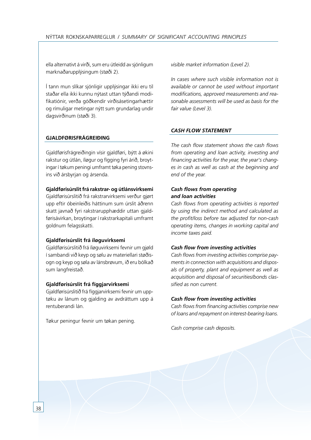ella alternativt á virði, sum eru útleidd av sjónligum marknaðarupplýsingum (støði 2).

Í tann mun slíkar sjónligir upplýsingar ikki eru til staðar ella ikki kunnu nýtast uttan týðandi modifikatiónir, verða góðkendir virðisásetingarhættir og rímuligar metingar nýtt sum grundarlag undir dagsvirðinum (støði 3).

## **GJALDFØRISFRÁGREIÐING**

Gjaldførisfrágreiðingin vísir gjaldføri, býtt á økini rakstur og útlán, íløgur og fígging fyri árið, broytingar í tøkum peningi umframt tøka pening stovnsins við ársbyrjan og ársenda.

## **Gjaldførisúrslit frá rakstrar- og útlánsvirksemi**

Gjaldførisúrslitið frá rakstrarvirksemi verður gjørt upp eftir óbeinleiðis háttinum sum úrslit áðrenn skatt javnað fyri rakstrarupphæddir uttan gjaldførisávirkan, broytingar í rakstrarkapitali umframt goldnum felagsskatti.

## **Gjaldførisúrslit frá íløguvirksemi**

Gjaldførisúrslitið frá íløguvirksemi fevnir um gjøld í sambandi við keyp og sølu av materiellari støðisogn og keyp og søla av lánsbrøvum, ið eru bólkað sum langfreistað.

## **Gjaldførisúrslit frá fíggjarvirksemi**

Gjaldførisúrslitið frá fíggjarvirksemi fevnir um upptøku av lánum og gjalding av avdráttum upp á rentuberandi lán.

Tøkur peningur fevnir um tøkan pening.

*visible market information (Level 2).*

*In cases where such visible information not is available or cannot be used without important modifications, approved measurements and reasonable assessments will be used as basis for the fair value (Level 3).* 

## *CASH FLOW STATEMENT*

*The cash flow statement shows the cash flows from operating and loan activity, investing and financing activities for the year, the year's changes in cash as well as cash at the beginning and end of the year.*

## *Cash flows from operating and loan activities*

*Cash flows from operating activities is reported by using the indirect method and calculated as the profit/loss before tax adjusted for non-cash operating items, changes in working capital and income taxes paid.*

## *Cash flow from investing activities*

*Cash flows from investing activities comprise payments in connection with acquisitions and disposals of property, plant and equipment as well as acquisition and disposal of securities/bonds classified as non current.*

## *Cash flow from investing activities*

*Cash flows from financing activities comprise new of loans and repayment on interest-bearing loans.*

*Cash comprise cash deposits.*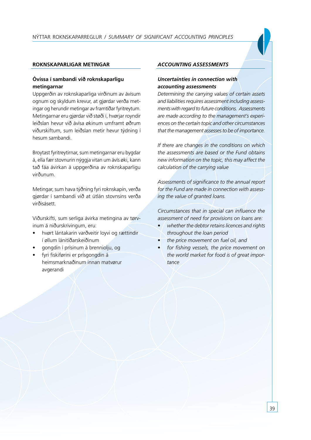#### **ROKNSKAPARLIGAR METINGAR**

## **Óvissa í sambandi við roknskaparligu metingarnar**

Uppgerðin av roknskaparliga virðinum av ávísum ognum og skyldum krevur, at gjørdar verða metingar og herundir metingar av framtíðar fyritreytum. Metingarnar eru gjørdar við støði í, hvørjar royndir leiðslan hevur við ávísa økinum umframt øðrum viðurskiftum, sum leiðslan metir hevur týdning í hesum sambandi.

Broytast fyritreytirnar, sum metingarnar eru bygdar á, ella fær stovnurin nýggja vitan um ávís øki, kann tað fáa ávirkan á uppgerðina av roknskaparligu virðunum.

Metingar, sum hava týðning fyri roknskapin, verða gjørdar í sambandi við at útlán stovnsins verða virðisásett.

Viðurskifti, sum serliga ávirka metingina av tørvinum á niðurskrivingum, eru:

- hvørt lántakarin varðveitir loyvi og rættindir í øllum lánitíðarskeiðinum
- gongdin í prísinum á brenniolju, og
- fyri fiskiførini er prísgongdin á heimsmarknaðinum innan matvørur avgerandi

#### *ACCOUNTING ASSESSMENTS*

## *Uncertainties in connection with accounting assessments*

*Determining the carrying values of certain assets and liabilities requires assessment including assessments with regard to future conditions. Assessments are made according to the management's experiences on the certain topic and other circumstances that the management assesses to be of importance.*

*If there are changes in the conditions on which the assessments are based or the Fund obtains new information on the topic, this may affect the calculation of the carrying value* 

*Assessments of significance to the annual report for the Fund are made in connection with assessing the value of granted loans.* 

*Circumstances that in special can influence the assessment of need for provisions on loans are:*

- *• whether the debtor retains licences and rights throughout the loan period*
- *• the price movement on fuel oil, and*
- *• for fishing vessels, the price movement on the world market for food is of great importance*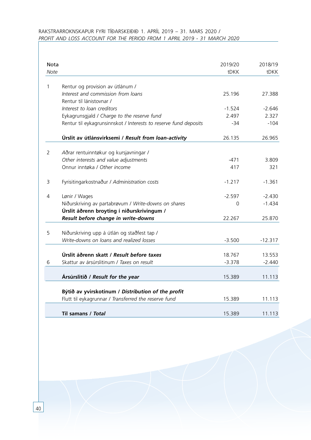## RAKSTRARROKNSKAPUR FYRI TÍÐARSKEIÐIÐ 1. APRÍL 2019 – 31. MARS 2020 / *PROFIT AND LOSS ACCOUNT FOR THE PERIOD FROM 1 APRIL 2019 - 31 MARCH 2020*

| Nota<br>Note   |                                                                  | 2019/20<br>tDKK | 2018/19<br>tDKK |
|----------------|------------------------------------------------------------------|-----------------|-----------------|
| $\mathbf{1}$   | Rentur og provision av útlánum /                                 |                 |                 |
|                | Interest and commission from loans                               | 25.196          | 27.388          |
|                | Rentur til lánistovnar /                                         |                 |                 |
|                | Interest to loan creditors                                       | $-1.524$        | $-2.646$        |
|                | Eykagrunsgjald / Charge to the reserve fund                      | 2.497           | 2.327           |
|                | Rentur til eykagrunsinnskot / Interests to reserve fund deposits | $-34$           | $-104$          |
|                | Úrslit av útlánsvirksemi / Result from loan-activity             | 26.135          | 26.965          |
| $\overline{2}$ | Aðrar rentuinntøkur og kursjavningar /                           |                 |                 |
|                | Other interests and value adjustments                            | $-471$          | 3.809           |
|                | Onnur inntøka / Other income                                     | 417             | 321             |
| 3              | Fyrisitingarkostnaður / Administration costs                     | $-1.217$        | $-1.361$        |
| 4              | Lønir / Wages                                                    | $-2.597$        | $-2.430$        |
|                | Niðurskriving av partabrøvum / Write-downs on shares             | 0               | $-1.434$        |
|                | Úrslit áðrenn broyting í niðurskrivingum /                       |                 |                 |
|                | Result before change in write-downs                              | 22.267          | 25.870          |
| 5              | Niðurskriving upp á útlán og staðfest tap /                      |                 |                 |
|                | Write-downs on loans and realized losses                         | $-3.500$        | $-12.317$       |
|                | Úrslit áðrenn skatt / Result before taxes                        | 18.767          | 13.553          |
| 6              | Skattur av ársúrslitinum / Taxes on result                       | $-3.378$        | $-2.440$        |
|                |                                                                  |                 |                 |
|                | Ársúrslitið / Result for the year                                | 15.389          | 11.113          |
|                | Býtið av yvirskotinum / Distribution of the profit               |                 |                 |
|                | Flutt til eykagrunnar / Transferred the reserve fund             | 15.389          | 11.113          |
|                | Til samans / Total                                               | 15.389          | 11.113          |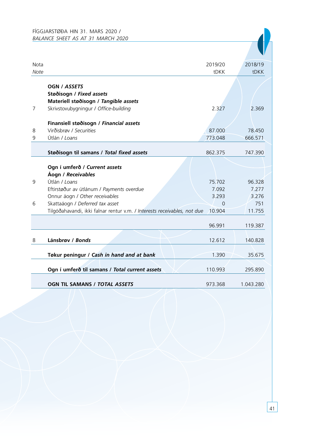| Nota        |                                                                          | 2019/20 | 2018/19   |
|-------------|--------------------------------------------------------------------------|---------|-----------|
| <b>Note</b> |                                                                          | tDKK    | tDKK      |
|             |                                                                          |         |           |
|             | <b>OGN / ASSETS</b>                                                      |         |           |
|             | Støðisogn / Fixed assets                                                 |         |           |
|             | Materiell støðisogn / Tangible assets                                    |         |           |
| 7           | Skrivstovubygningur / Office-building                                    | 2.327   | 2.369     |
|             |                                                                          |         |           |
|             | Finansiell støðisogn / Financial assets                                  |         |           |
| 8           | Virðisbrøy / Securities                                                  | 87.000  | 78.450    |
| 9           | Útlán / Loans                                                            | 773.048 | 666.571   |
|             |                                                                          |         |           |
|             | Støðisogn til samans / Total fixed assets                                | 862.375 | 747.390   |
|             |                                                                          |         |           |
|             | Ogn í umferð / Current assets                                            |         |           |
|             | Áogn / Receivables                                                       |         |           |
| 9           | Útlán / Loans                                                            | 75.702  | 96.328    |
|             | Eftirstøður av útlánum / Payments overdue                                | 7.092   | 7.277     |
|             | Onnur áogn / Other receivables                                           | 3.293   | 3.276     |
| 6           | Skattaáogn / Deferred tax asset                                          | 0       | 751       |
|             | Tilgóðahavandi, ikki falnar rentur v.m. / Interests receivables, not due | 10.904  | 11.755    |
|             |                                                                          |         |           |
|             |                                                                          | 96.991  | 119.387   |
|             |                                                                          |         |           |
| 8           | Lánsbrøv / Bonds                                                         | 12.612  | 140.828   |
|             |                                                                          |         |           |
|             | Tøkur peningur / Cash in hand and at bank                                | 1.390   | 35.675    |
|             |                                                                          |         |           |
|             | Ogn í umferð til samans / Total current assets                           | 110.993 | 295.890   |
|             |                                                                          |         |           |
|             | OGN TIL SAMANS / TOTAL ASSETS                                            | 973.368 | 1.043.280 |

 $\overline{\blacklozenge}$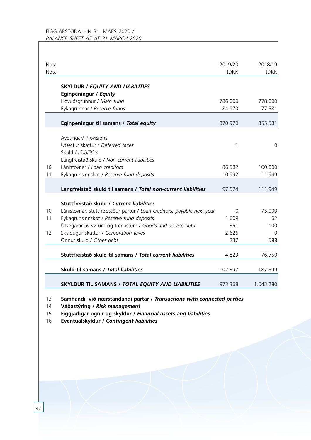| Nota<br><b>Note</b> |                                                                         | 2019/20<br>tDKK | 2018/19<br>tDKK |
|---------------------|-------------------------------------------------------------------------|-----------------|-----------------|
|                     | <b>SKYLDUR / EQUITY AND LIABILITIES</b>                                 |                 |                 |
|                     | Eginpeningur / Equity                                                   |                 |                 |
|                     | Høvuðsgrunnur / Main fund                                               | 786.000         | 778.000         |
|                     | Eykagrunnar / Reserve funds                                             | 84.970          | 77.581          |
|                     |                                                                         |                 |                 |
|                     | Eginpeningur til samans / Total equity                                  | 870.970         | 855.581         |
|                     | Avetingar/ Provisions                                                   |                 |                 |
|                     | Útsettur skattur / Deferred taxes                                       | 1               | 0               |
|                     | Skuld / Liabilities                                                     |                 |                 |
|                     | Langfreistað skuld / Non-current liabilities                            |                 |                 |
| 10                  | Lánistovnar / Loan creditors                                            | 86.582          | 100.000         |
| 11                  | Eykagrunsinnskot / Reserve fund deposits                                | 10.992          | 11.949          |
|                     |                                                                         |                 |                 |
|                     | Langfreistað skuld til samans / Total non-current liabilities           | 97.574          | 111.949         |
|                     | Stuttfreistað skuld / Current liabilities                               |                 |                 |
| 10                  | Lánistovnar, stuttfreistaður partur / Loan creditors, payable next year | 0               | 75.000          |
| 11                  | Eykagrunsinnskot / Reserve fund deposits                                | 1.609           | 62              |
|                     | Útvegarar av vørum og tænastum / Goods and service debt                 | 351             | 100             |
| 12                  | Skyldugur skattur / Corporation taxes                                   | 2.626           | 0               |
|                     | Onnur skuld / Other debt                                                | 237             | 588             |
|                     |                                                                         |                 |                 |
|                     | Stuttfreistað skuld til samans / Total current liabilities              | 4.823           | 76.750          |
|                     | Skuld til samans / Total liabilities                                    | 102.397         | 187.699         |
|                     |                                                                         |                 |                 |
|                     | SKYLDUR TIL SAMANS / TOTAL EQUITY AND LIABILITIES                       | 973.368         | 1.043.280       |
|                     |                                                                         |                 |                 |
| 13                  | Samhandil við nærstandandi partar / Transactions with connected parties |                 |                 |
| 14                  | Váðastýring / Risk management                                           |                 |                 |

15 **Fíggjarligar ognir og skyldur /** *Financial assets and liabilities* 

16 **Eventualskyldur /** *Contingent liabilities* 

42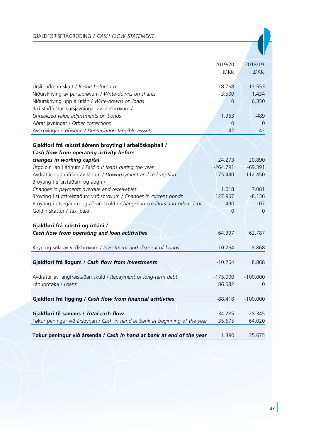|                                                                              | 2019/20     | 2018/19        |
|------------------------------------------------------------------------------|-------------|----------------|
|                                                                              | tDKK        | tDKK           |
|                                                                              |             |                |
| Úrslit áðrenn skatt / Result before tax                                      | 18.768      | 13.553         |
| Niðurskriving av partabrøvum / Write-downs on shares                         | 3.500       | 1.434          |
| Niðurskriving upp á útlán / Write-downs on loans                             | 0           | 6.350          |
| Ikki staðfestur kursjavningar av lánsbrøvum /                                |             |                |
| Unrealized value adjustments on bonds                                        | 1.963       | $-489$         |
| Aðrar javningar / Other corrections                                          | 0           | 0              |
| Avskrivingar støðisogn / Depreciation tangible asssets                       | 42          | 42             |
|                                                                              |             |                |
| Gjaldføri frá rakstri áðrenn broyting í arbeiðskapitali /                    |             |                |
| Cash flow from operating activity before                                     |             |                |
| changes in working capital                                                   | 24.273      | 20.890         |
| Útgoldin lán í árinum / Paid out loans during the year                       | $-264.791$  | $-69.391$      |
| Avdráttir og innfrían av lánum / Downpayment and redemption                  | 175.440     | 112.450        |
| Broyting í eftirstøðum og áogn /                                             |             |                |
| Changes in payments overdue and receivables                                  | 1.018       | 7.081          |
| Broyting í stuttfreistaðum virðisbrøvum / Changes in current bonds           | 127.967     | $-8.136$       |
| Broyting í útvegarum og aðrari skuld / Changes in creditors and other debt   | 490         | $-107$         |
| Goldin skattur / Tax, paid                                                   | $\mathbf 0$ | 0              |
|                                                                              |             |                |
| Gjaldføri frá rakstri og útláni /                                            |             |                |
| Cash flow from operating and loan actitivities                               | 64.397      | 62.787         |
|                                                                              |             |                |
| Keyp og søla av virðisbrøvum / Investment and disposal of bonds              | $-10.264$   | 8.868          |
|                                                                              |             |                |
| Gjaldføri frá íløgum / Cash flow from investments                            | $-10.264$   | 8.868          |
|                                                                              |             |                |
| Avdráttir av langfreistaðari skuld / Repayment of long-term debt             | $-175.000$  | $-100.000$     |
| Lánupptøka / Loans                                                           | 86.582      | $\overline{0}$ |
|                                                                              |             |                |
| Gjaldføri frá fígging / Cash flow from financial actitivties                 | $-88.418$   | $-100.000$     |
|                                                                              |             |                |
| Gjaldføri til samans / Total cash flow                                       | $-34.285$   | $-28.345$      |
| Tøkur peningur við ársbyrjan / Cash in hand at bank at beginning of the year | 35.675      | 64.020         |
|                                                                              |             |                |
| Tøkur peningur við ársenda / Cash in hand at bank at end of the year         | 1.390       | 35.675         |

 $\overline{\phantom{a}}$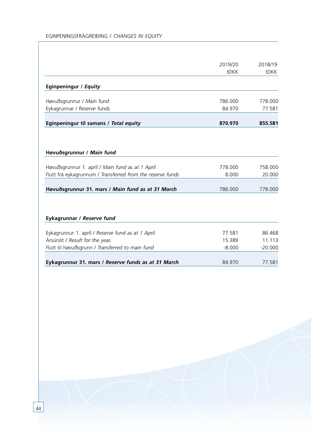|                                                                                                                | 2019/20     | 2018/19   |
|----------------------------------------------------------------------------------------------------------------|-------------|-----------|
|                                                                                                                | <b>TDKK</b> | tDKK      |
|                                                                                                                |             |           |
| Eginpeningur / Equity                                                                                          |             |           |
| Høvuðsgrunnur / Main fund                                                                                      | 786.000     | 778.000   |
| Eykagrunnar / Reserve funds                                                                                    | 84.970      | 77.581    |
|                                                                                                                |             |           |
| Eginpeningur til samans / Total equity                                                                         | 870.970     | 855.581   |
|                                                                                                                |             |           |
|                                                                                                                |             |           |
| Høvuðsgrunnur / Main fund                                                                                      |             |           |
|                                                                                                                | 778.000     | 758.000   |
| Høvuðsgrunnur 1. apríl / Main fund as at 1 April<br>Flutt frá eykagrunnum / Transferred from the reserve funds | 8.000       | 20.000    |
|                                                                                                                |             |           |
| Høvuðsgrunnur 31. mars / Main fund as at 31 March                                                              | 786.000     | 778,000   |
|                                                                                                                |             |           |
|                                                                                                                |             |           |
| Eykagrunnar / Reserve fund                                                                                     |             |           |
|                                                                                                                |             |           |
| Eykagrunnur 1. apríl / Reserve fund as at 1 April                                                              | 77.581      | 86.468    |
| Ársúrslit / Result for the yeas                                                                                | 15.389      | 11.113    |
| Flutt til høvuðsgrunn / Transferred to main fund                                                               | $-8.000$    | $-20.000$ |
|                                                                                                                |             |           |
| Eykagrunnur 31. mars / Reserve funds as at 31 March                                                            | 84.970      | 77.581    |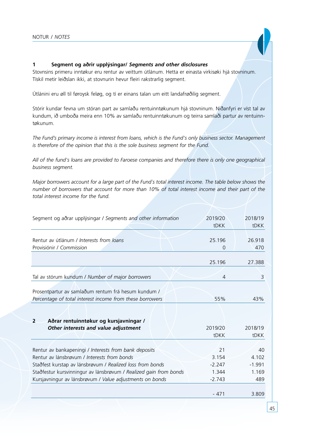## NOTUR / *NOTES*



#### **1 Segment og aðrir upplýsingar/** *Segments and other disclosures*

Stovnsins primeru inntøkur eru rentur av veittum útlánum. Hetta er einasta virkisøki hjá stovninum. Tískil metir leiðslan ikki, at stovnurin hevur fleiri rakstrarlig segment.

Útlánini eru øll til føroysk feløg, og tí er einans talan um eitt landafrøðilig segment.

Stórir kundar fevna um stóran part av samlaðu rentuinntøkunum hjá stovninum. Niðanfyri er víst tal av kundum, ið umboða meira enn 10% av samlaðu rentuinntøkunum og teirra samlaði partur av rentuinntøkunum.

*The Fund's primary income is interest from loans, which is the Fund's only business sector. Management is therefore of the opinion that this is the sole business segment for the Fund.*

*All of the fund's loans are provided to Faroese companies and therefore there is only one geographical business segment.*

*Major borrowers account for a large part of the Fund´s total interest income. The table below shows the number of borrowers that account for more than 10% of total interest income and their part of the total interest income for the fund.*

| Segment og aðrar upplýsingar / Segments and other information     | 2019/20     | 2018/19     |
|-------------------------------------------------------------------|-------------|-------------|
|                                                                   | <b>tDKK</b> | <b>tDKK</b> |
|                                                                   |             |             |
| Rentur av útlánum / Interests from loans                          | 25.196      | 26.918      |
| Provisiónir / Commission                                          | 0           | 470         |
|                                                                   |             |             |
|                                                                   | 25.196      | 27.388      |
|                                                                   |             |             |
| Tal av stórum kundum / Number of major borrowers                  | 4           | 3           |
|                                                                   |             |             |
| Prosentpartur av samlaðum rentum frá hesum kundum /               |             |             |
| Percentage of total interest income from these borrowers          | 55%         | 43%         |
|                                                                   |             |             |
|                                                                   |             |             |
| Aðrar rentuinntøkur og kursjavningar /<br>$\overline{2}$          |             |             |
| Other interests and value adjustment                              | 2019/20     | 2018/19     |
|                                                                   | tDKK        | <b>tDKK</b> |
|                                                                   |             |             |
| Rentur av bankapeningi / Interests from bank deposits             | 21          | 40          |
| Rentur av lánsbrøvum / Interests from bonds                       | 3.154       | 4.102       |
| Staðfest kurstap av lánsbrøvum / Realized loss from bonds         | $-2.247$    | $-1.991$    |
| Staðfestur kursvinningur av lánsbrøvum / Realized gain from bonds | 1.344       | 1.169       |
| Kursjavningur av lánsbrøvum / Value adjustments on bonds          | $-2.743$    | 489         |
|                                                                   |             |             |
|                                                                   | $-471$      | 3.809       |
|                                                                   |             |             |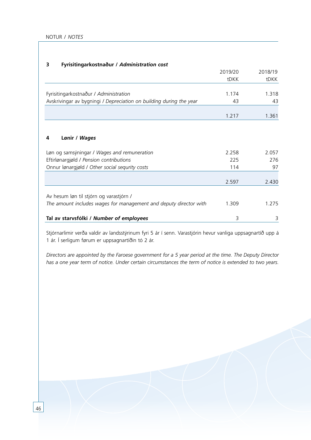## **3 Fyrisitingarkostnaður /** *Administration cost*

|                                                                     | 2019/20 | 2018/19 |
|---------------------------------------------------------------------|---------|---------|
|                                                                     | tDKK    | tDKK    |
|                                                                     |         |         |
| Fyrisitingarkostnaður / Administration                              | 1.174   | 1.318   |
| Avskrivingar av bygningi / Depreciation on building during the year | 43      | 43      |
|                                                                     |         |         |
|                                                                     | 1.217   | 1.361   |
|                                                                     |         |         |
|                                                                     |         |         |
| Lønir / Wages<br>4                                                  |         |         |
|                                                                     |         |         |
| Løn og samsýningar / Wages and remuneration                         | 2.258   | 2.057   |
| Eftirlønargjøld / Pension contributions                             | 225     | 276     |
| Onnur lønargjøld / Other social sequrity costs                      | 114     | 97      |
|                                                                     |         |         |
|                                                                     | 2.597   | 2.430   |
|                                                                     |         |         |
| Av hesum løn til stjórn og varastjórn /                             |         |         |
| The amount includes wages for management and deputy director with   | 1.309   | 1.275   |
|                                                                     |         |         |
| Tal av starvsfólki / Number of employees                            | 3       | 3       |

Stjórnarlimir verða valdir av landsstýrinum fyri 5 ár í senn. Varastjórin hevur vanliga uppsagnartíð upp á 1 ár. Í serligum førum er uppsagnartíðin tó 2 ár.

*Directors are appointed by the Faroese government for a 5 year period at the time. The Deputy Director has a one year term of notice. Under certain circumstances the term of notice is extended to two years.*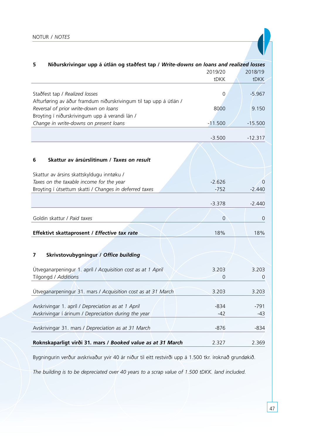| 5<br>Niðurskrivingar upp á útlán og staðfest tap / Write-downs on loans and realized losses |                |                |
|---------------------------------------------------------------------------------------------|----------------|----------------|
|                                                                                             | 2019/20        | 2018/19        |
|                                                                                             | tDKK           | <b>tDKK</b>    |
|                                                                                             |                |                |
| Staðfest tap / Realized losses                                                              | 0              | $-5.967$       |
| Afturføring av áður framdum niðurskrivingum til tap upp á útlán /                           |                |                |
| Reversal of prior write-down on loans                                                       | 8000           | 9.150          |
| Broyting í niðurskrivingum upp á verandi lán /                                              |                |                |
| Change in write-downs on present loans                                                      | $-11.500$      | $-15.500$      |
|                                                                                             | $-3.500$       | $-12.317$      |
|                                                                                             |                |                |
| Skattur av ársúrslitinum / Taxes on result<br>6                                             |                |                |
|                                                                                             |                |                |
| Skattur av ársins skattskyldugu inntøku /                                                   |                |                |
| Taxes on the taxable income for the year                                                    | $-2.626$       | 0              |
| Broyting í útsettum skatti / Changes in deferred taxes                                      | $-752$         | $-2.440$       |
|                                                                                             |                |                |
|                                                                                             | $-3.378$       | $-2.440$       |
| Goldin skattur / Paid taxes                                                                 | $\overline{0}$ | 0              |
|                                                                                             |                |                |
| Effektivt skattaprosent / Effective tax rate                                                | 18%            | 18%            |
|                                                                                             |                |                |
| Skrivstovubygningur / Office building<br>7                                                  |                |                |
|                                                                                             |                |                |
| Útveganarpeningur 1. apríl / Acquisition cost as at 1 April                                 | 3.203          | 3.203          |
| Tilgongd / Additions                                                                        | 0              | $\overline{0}$ |
|                                                                                             |                |                |
| Útveganarpeningur 31. mars / Acquisition cost as at 31 March                                | 3.203          | 3.203          |
| Avskrivingar 1. apríl / Depreciation as at 1 April                                          | $-834$         | $-791$         |
| Avskrivingar í árinum / Depreciation during the year                                        | $-42$          | $-43$          |
|                                                                                             |                |                |
| Avskrivingar 31. mars / Depreciation as at 31 March                                         | $-876$         | -834           |
| Roknskaparligt virði 31. mars / Booked value as at 31 March                                 | 2.327          | 2.369          |
|                                                                                             |                |                |

Bygningurin verður avskrivaður yvir 40 ár niður til eitt restvirði upp á 1.500 tkr. íroknað grundøkið.

*The building is to be depreciated over 40 years to a scrap value of 1.500 tDKK. land included.*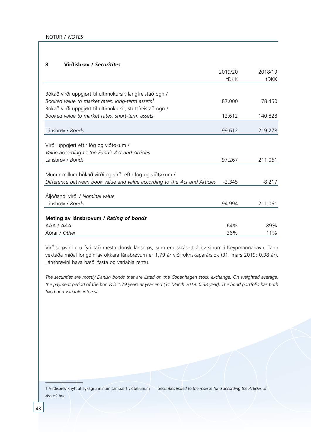### **8 Virðisbrøv /** *Securitites*

|                                                                           | 2019/20  | 2018/19     |
|---------------------------------------------------------------------------|----------|-------------|
|                                                                           | tDKK     | <b>tDKK</b> |
|                                                                           |          |             |
| Bókað virði uppgjørt til ultimokursir, langfreistað ogn /                 |          |             |
| Booked value to market rates, long-term assets <sup>1</sup>               | 87.000   | 78.450      |
| Bókað virði uppgjørt til ultimokursir, stuttfreistað ogn /                |          |             |
| Booked value to market rates, short-term assets                           | 12.612   | 140.828     |
|                                                                           |          |             |
| Lánsbrøv / Bonds                                                          | 99.612   | 219.278     |
|                                                                           |          |             |
| Virði uppgjørt eftir lóg og viðtøkum /                                    |          |             |
| Value according to the Fund's Act and Articles                            |          |             |
| Lánsbrøv / Bonds                                                          | 97.267   | 211.061     |
|                                                                           |          |             |
| Munur millum bókað virði og virði eftir lóg og viðtøkum /                 |          |             |
| Difference between book value and value according to the Act and Articles | $-2.345$ | $-8.217$    |
|                                                                           |          |             |
| Áljóðandi virði / Nominal value                                           |          |             |
| Lánsbrøv / Bonds                                                          | 94.994   | 211.061     |
|                                                                           |          |             |
| Meting av lánsbrøvum / Rating of bonds                                    |          |             |
| AAA / AAA                                                                 | 64%      | 89%         |
| Aðrar / Other                                                             | 36%      | 11%         |

Virðisbrøvini eru fyri tað mesta donsk lánsbrøv, sum eru skrásett á børsinum í Keypmannahavn. Tann vektaða miðal longdin av okkara lánsbrøvum er 1,79 ár við roknskaparárslok (31. mars 2019: 0,38 ár). Lánsbrøvini hava bæði fasta og variabla rentu.

*The securities are mostly Danish bonds that are listed on the Copenhagen stock exchange. On weighted average, the payment period of the bonds is 1.79 years at year end (31 March 2019: 0.38 year). The bond portfolio has both fixed and variable interest.*

1 Virðisbrøv knýtt at eykagrunninum sambært viðtøkunum *Securities linked to the reserve fund according the Articles of Association*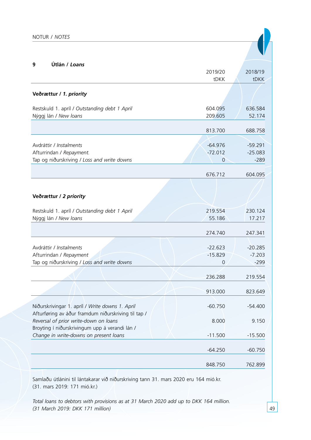| Útlán / Loans<br>9                                  |                |             |
|-----------------------------------------------------|----------------|-------------|
|                                                     | 2019/20        | 2018/19     |
|                                                     | tDKK           | <b>tDKK</b> |
| Veðrættur / 1. priority                             |                |             |
|                                                     |                |             |
| Restskuld 1. apríl / Outstanding debt 1 April       | 604.095        | 636.584     |
| Nýggj lán / New loans                               | 209.605        | 52.174      |
|                                                     | 813.700        | 688.758     |
|                                                     |                |             |
| Avdráttir / Instalments                             | $-64.976$      | $-59.291$   |
| Afturrindan / Repayment.                            | $-72.012$      | $-25.083$   |
| Tap og niðurskriving / Loss and write downs         | $\mathbf 0$    | $-289$      |
|                                                     | 676.712        | 604.095     |
|                                                     |                |             |
|                                                     |                |             |
| Veðrættur / 2 priority                              |                |             |
| Restskuld 1. apríl / Outstanding debt 1 April       | 219.554        | 230.124     |
| Nýggj lán / New loans                               | 55.186         | 17.217      |
|                                                     | 274.740        | 247.341     |
|                                                     |                |             |
| Avdráttir / Instalments                             | $-22.623$      | $-20.285$   |
| Afturrindan / Repayment                             | $-15.829$      | $-7.203$    |
| Tap og niðurskriving / Loss and write downs         | $\overline{0}$ | $-299$      |
|                                                     | 236.288        | 219.554     |
|                                                     |                |             |
|                                                     | 913.000        | 823.649     |
| Niðurskrivingar 1. apríl / Write downs 1. April     | $-60.750$      | $-54.400$   |
| Afturføring av áður framdum niðurskriving til tap / |                |             |
| Reversal of prior write-down on loans               | 8.000          | 9.150       |
| Broyting í niðurskrivingum upp á verandi lán /      |                |             |
| Change in write-downs on present loans              | $-11.500$      | $-15.500$   |
|                                                     | $-64.250$      | $-60.750$   |
|                                                     | 848.750        | 762.899     |
|                                                     |                |             |

Samlaðu útlánini til lántakarar við niðurskriving tann 31. mars 2020 eru 164 mió.kr. (31. mars 2019: 171 mió.kr.)

*Total loans to debtors with provisions as at 31 March 2020 add up to DKK 164 million. (31 March 2019: DKK 171 million)*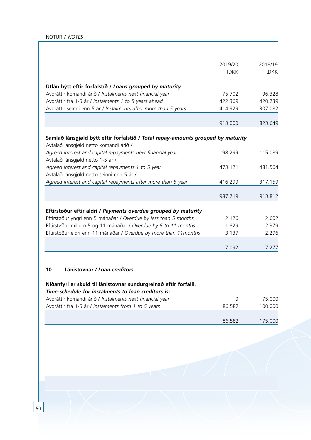|                                                                                  | 2019/20     | 2018/19     |
|----------------------------------------------------------------------------------|-------------|-------------|
|                                                                                  | <b>tDKK</b> | <b>tDKK</b> |
|                                                                                  |             |             |
| Útlán býtt eftir forfalstíð / Loans grouped by maturity                          |             |             |
| Avdráttir komandi árið / Instalments next financial year                         | 75.702      | 96.328      |
| Avdráttir frá 1-5 ár / Instalments 1 to 5 years ahead                            | 422.369     | 420.239     |
| Avdráttir seinni enn 5 ár / Instalments after more than 5 years                  | 414.929     | 307.082     |
|                                                                                  |             |             |
|                                                                                  | 913.000     | 823.649     |
|                                                                                  |             |             |
| Samlað lánsgjøld býtt eftir forfalstíð / Total repay-amounts grouped by maturity |             |             |
| Avtalað lánsgjøld netto komandi árið /                                           |             |             |
| Agreed interest and capital repayments next financial year                       | 98.299      | 115.089     |
| Avtalað lánsgjøld netto 1-5 ár /                                                 |             |             |
| Agreed interest and capital repayments 1 to 5 year                               | 473.121     | 481.564     |
| Avtalað lánsgjøld netto seinni enn 5 ár /                                        |             |             |
| Agreed interest and capital repayments after more than 5 year                    | 416.299     | 317.159     |
|                                                                                  |             |             |
|                                                                                  | 987.719     | 913.812     |
|                                                                                  |             |             |
| Eftirstøður eftir aldri / Payments overdue grouped by maturity                   |             |             |
| Eftirstøður yngri enn 5 mánaðar / Overdue by less than 5 months                  | 2.126       | 2.602       |
| Eftirstøður millum 5 og 11 mánaðar / Overdue by 5 to 11 months                   | 1.829       | 2.379       |
| Eftirstøður eldri enn 11 mánaðar / Overdue by more than 11 months                | 3.137       | 2.296       |
|                                                                                  |             |             |
|                                                                                  | 7.092       | 7.277       |
|                                                                                  |             |             |
|                                                                                  |             |             |
| Lánistovnar / Loan creditors<br>10                                               |             |             |
|                                                                                  |             |             |
| Niðanfyri er skuld til lánistovnar sundurgreinað eftir forfalli.                 |             |             |
| Time-schedule for instalments to loan creditors is:                              |             |             |

| Avdráttir komandi árið / Instalments next financial year |        | 75.000  |
|----------------------------------------------------------|--------|---------|
| Avdráttir frá 1-5 ár / Instalments from 1 to 5 years     | 86.582 | 100.000 |
|                                                          |        |         |
|                                                          | 86.582 | 175.000 |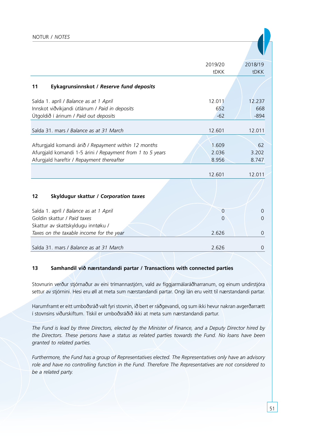NOTUR / *NOTES*

|                                                                                                                                                                | 2019/20                 | 2018/19              |
|----------------------------------------------------------------------------------------------------------------------------------------------------------------|-------------------------|----------------------|
|                                                                                                                                                                | tDKK                    | tDKK                 |
| Eykagrunsinnskot / Reserve fund deposits<br>11                                                                                                                 |                         |                      |
| Salda 1. apríl / Balance as at 1 April                                                                                                                         | 12.011                  | 12.237               |
| Innskot viðvíkjandi útlánum / Paid in deposits                                                                                                                 | 652                     | 668                  |
| Útgoldið í árinum / Paid out deposits                                                                                                                          | $-62$                   | $-894$               |
| Salda 31, mars / Balance as at 31 March                                                                                                                        | 12.601                  | 12.011               |
| Afturgjald komandi árið / Repayment within 12 months<br>Afurgiald komandi 1-5 árini / Repayment from 1 to 5 years<br>Afurgjald hareftir / Repayment thereafter | 1.609<br>2.036<br>8.956 | 62<br>3.202<br>8.747 |
|                                                                                                                                                                | 12.601                  | 12.011               |
| 12<br>Skyldugur skattur / Corporation taxes                                                                                                                    |                         |                      |
| Salda 1. apríl / Balance as at 1 April                                                                                                                         | $\overline{0}$          | $\Omega$             |
| Goldin skattur / Paid taxes                                                                                                                                    | $\Omega$                | $\Omega$             |
| Skattur av skattskyldugu inntøku /                                                                                                                             |                         |                      |
| Taxes on the taxable income for the year                                                                                                                       | 2.626                   | $\Omega$             |
| Salda 31. mars / Balance as at 31 March                                                                                                                        | 2.626                   | 0                    |

## **13 Samhandil við nærstandandi partar / Transactions with connected parties**

Stovnurin verður stjórnaður av eini trímannastjórn, vald av fíggjarmálaráðharranum, og einum undirstjóra settur av stjórnini. Hesi eru øll at meta sum nærstandandi partar. Ongi lán eru veitt til nærstandandi partar.

Harumframt er eitt umboðsráð valt fyri stovnin, ið bert er ráðgevandi, og sum ikki hevur nakran avgerðarrætt í stovnsins viðurskiftum. Tískil er umboðsráðið ikki at meta sum nærstandandi partur.

*The Fund is lead by three Directors, elected by the Minister of Finance, and a Deputy Director hired by the Directors. These persons have a status as related parties towards the Fund. No loans have been granted to related parties.* 

*Furthermore, the Fund has a group of Representatives elected. The Representatives only have an advisory role and have no controlling function in the Fund. Therefore The Representatives are not considered to be a related party.*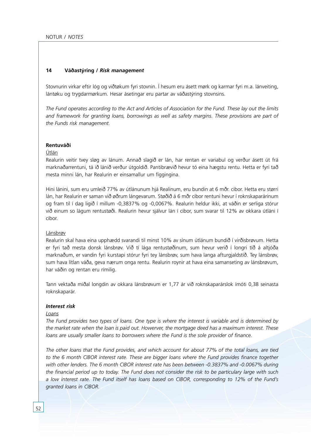## **14 Váðastýring /** *Risk management*

Stovnurin virkar eftir lóg og viðtøkum fyri stovnin. Í hesum eru ásett mørk og karmar fyri m.a. lánveiting, lántøku og trygdarmørkum. Hesar ásetingar eru partar av váðastýring stovnsins.

*The Fund operates according to the Act and Articles of Association for the Fund. These lay out the limits and framework for granting loans, borrowings as well as safety margins. These provisions are part of the Funds risk management.* 

#### **Rentuváði**

#### Útlán

Realurin veitir tvey sløg av lánum. Annað slagið er lán, har rentan er variabul og verður ásett út frá marknaðarrentuni, tá ið lánið verður útgoldið. Pantibrævið hevur tó eina hægstu rentu. Hetta er fyri tað mesta minni lán, har Realurin er einsamallur um fíggingina.

Hini lánini, sum eru umleið 77% av útlánunum hjá Realinum, eru bundin at 6 mðr. cibor. Hetta eru størri lán, har Realurin er saman við øðrum lángevarum. Støðið á 6 mðr cibor rentuni hevur í roknskaparárinum og fram til í dag ligið í millum -0,3837% og -0,0067%. Realurin heldur ikki, at váðin er serliga stórur við einum so lágum rentustøði. Realurin hevur sjálvur lán í cibor, sum svarar til 12% av okkara útláni í cibor.

#### Lánsbrøv

Realurin skal hava eina upphædd svarandi til minst 10% av sínum útlánum bundið í virðisbrøvum. Hetta er fyri tað mesta donsk lánsbrøv. Við tí lága rentustøðinum, sum hevur verið í longri tíð á altjóða marknaðum, er vandin fyri kurstapi stórur fyri tey lánsbrøv, sum hava langa afturgjaldstíð. Tey lánsbrøv, sum hava lítlan váða, geva nærum onga rentu. Realurin roynir at hava eina samanseting av lánsbrøvum, har váðin og rentan eru rímilig.

Tann vektaða miðal longdin av okkara lánsbrøvum er 1,77 ár við roknskaparárslok ímóti 0,38 seinasta roknskaparár.

#### *Interest risk*

#### *Loans*

*The Fund provides two types of loans. One type is where the interest is variable and is determined by the market rate when the loan is paid out. Howerver, the mortgage deed has a maximum interest. These loans are usually smaller loans to borrowers where the Fund is the sole provider of finance.* 

*The other loans that the Fund provides, and which account for about 77% of the total loans, are tied*  to the 6 month CIBOR interest rate. These are bigger loans where the Fund provides finance together *with other lenders. The 6 month CIBOR interest rate has been between -0.3837% and -0.0067% during the financial period up to today. The Fund does not consider the risk to be particulary large with such a low interest rate. The Fund itself has loans based on CIBOR, corresponding to 12% of the Fund's granted loans in CIBOR.*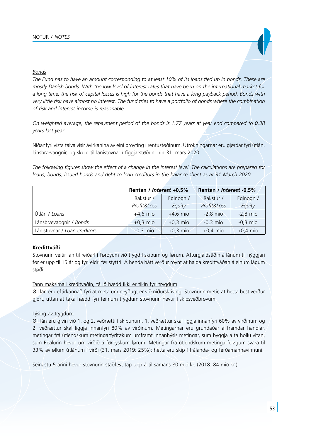#### *Bonds*

*The Fund has to have an amount corresponding to at least 10% of its loans tied up in bonds. These are mostly Danish bonds. With the low level of interest rates that have been on the international market for a long time, the risk of capital losses is high for the bonds that have a long payback period. Bonds with very little risk have almost no interest. The fund tries to have a portfolio of bonds where the combination of risk and interest income is reasonable.*

*On weighted average, the repayment period of the bonds is 1.77 years at year end compared to 0.38 years last year.* 

Niðanfyri vísta talva vísir ávirkanina av eini broyting í rentustøðinum. Útrokningarnar eru gjørdar fyri útlán, lánsbrævaognir, og skuld til lánistovnar í fíggjarstøðuni hin 31. mars 2020.

*The following figures show the effect of a change in the interest level. The calculations are prepared for loans, bonds, issued bonds and debt to loan creditors in the balance sheet as at 31 March 2020.*

|                              | Rentan / Interest +0,5% |            | Rentan / Interest -0,5% |            |
|------------------------------|-------------------------|------------|-------------------------|------------|
|                              | Rakstur /               | Eginogn /  | Rakstur /               | Eginogn /  |
|                              | Profit&Loss             | Equity     | Profit&Loss             | Equity     |
| Útlán / Loans                | $+4,6$ mio              | $+4,6$ mio | $-2,8$ mio              | $-2,8$ mio |
| Lánsbrævaognir / Bonds       | $+0.3$ mio              | $+0.3$ mio | $-0.3$ mio              | $-0.3$ mio |
| Lánistovnar / Loan creditors | $-0.3$ mio              | $+0.3$ mio | $+0.4$ mio              | $+0.4$ mio |

#### **Kredittváði**

Stovnurin veitir lán til reiðarí í Førovum við trygd í skipum og førum. Afturgjaldstíðin á lánum til nýggjari før er upp til 15 ár og fyri eldri før styttri. Á henda hátt verður roynt at halda kredittváðan á einum lágum støði.

#### Tann maksimali kreditváðin, tá ið hædd ikki er tikin fyri trygdum

Øll lán eru eftirkannað fyri at meta um neyðugt er við niðurskriving. Stovnurin metir, at hetta best verður gjørt, uttan at taka hædd fyri teimum trygdum stovnurin hevur í skipsveðbrøvum.

#### Lýsing av trygdum

Øll lán eru givin við 1. og 2. veðrætti í skipunum. 1. veðrættur skal liggja innanfyri 60% av virðinum og 2. veðrættur skal liggja innanfyri 80% av virðinum. Metingarnar eru grundaðar á framdar handlar, metingar frá útlendskum metingarfyritøkum umframt innanhýsis metingar, sum byggja á ta hollu vitan, sum Realurin hevur um virðið á føroyskum førum. Metingar frá útlendskum metingarfeløgum svara til 33% av øllum útlánum í virði (31. mars 2019: 25%); hetta eru skip í frálanda- og ferðamannavinnuni.

Seinastu 5 árini hevur stovnurin staðfest tap upp á til samans 80 mió.kr. (2018: 84 mió.kr.)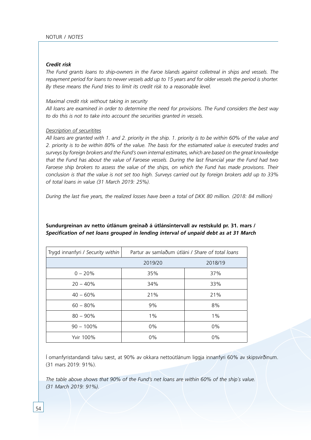#### *Credit risk*

*The Fund grants loans to ship-owners in the Faroe Islands against colletreal in ships and vessels. The repayment period for loans to newer vessels add up to 15 years and for older vessels the period is shorter. By these means the Fund tries to limit its credit risk to a reasonable level.*

#### *Maximal credit risk without taking in security*

*All loans are examined in order to determine the need for provisions. The Fund considers the best way to do this is not to take into account the securities granted in vessels.*

#### *Description of securitites*

*All loans are granted with 1. and 2. priority in the ship. 1. priority is to be within 60% of the value and 2. priority is to be within 80% of the value. The basis for the estiamated value is executed trades and surveys by foreign brokers and the Fund's own internal estimates, which are based on the great knowledge that the Fund has about the value of Faroese vessels. During the last financial year the Fund had two Faroese ship brokers to assess the value of the ships, on which the Fund has made provisons. Their conclusion is that the value is not set too high. Surveys carried out by foreign brokers add up to 33% of total loans in value (31 March 2019: 25%).*

*During the last five years, the realized losses have been a total of DKK 80 million. (2018: 84 million)* 

| Trygd innanfyri / Security within | Partur av samlaðum útláni / Share of total loans |         |  |
|-----------------------------------|--------------------------------------------------|---------|--|
|                                   | 2019/20                                          | 2018/19 |  |
| $0 - 20%$                         | 35%                                              | 37%     |  |
| $20 - 40\%$                       | 34%                                              | 33%     |  |
| $40 - 60\%$                       | 21%                                              | 21%     |  |
| $60 - 80\%$                       | 9%                                               | 8%      |  |
| $80 - 90\%$                       | $1\%$                                            | $1\%$   |  |
| $90 - 100\%$                      | $0\%$                                            | 0%      |  |
| Yvir 100%                         | $0\%$                                            | 0%      |  |

## **Sundurgreinan av netto útlánum greinað á útlánsintervall av restskuld pr. 31. mars /** *Specification of net loans grouped in lending interval of unpaid debt as at 31 March*

Í omanfyristandandi talvu sæst, at 90% av okkara nettoútlánum liggja innanfyri 60% av skipsvirðinum. (31 mars 2019: 91%).

*The table above shows that 90% of the Fund's net loans are within 60% of the ship´s value. (31 March 2019: 91%).*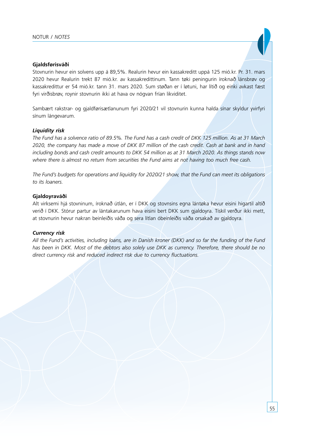#### **Gjaldsførisváði**

Stovnurin hevur ein solvens upp á 89,5%. Realurin hevur ein kassakreditt uppá 125 mió.kr. Pr. 31. mars 2020 hevur Realurin trekt 87 mió.kr. av kassakredittinum. Tann tøki peningurin íroknað lánsbrøv og kassakredittur er 54 mió.kr. tann 31. mars 2020. Sum støðan er í løtuni, har lítið og einki avkast fæst fyri virðisbrøv, roynir stovnurin ikki at hava ov nógvan frían likviditet.

Sambært rakstrar- og gjaldførisætlanunum fyri 2020/21 vil stovnurin kunna halda sínar skyldur yvirfyri sínum lángevarum.

#### *Liquidity risk*

*The Fund has a solvence ratio of 89.5%. The Fund has a cash credit of DKK 125 million. As at 31 March 2020, the company has made a move of DKK 87 million of the cash credit. Cash at bank and in hand including bonds and cash credit amounts to DKK 54 million as at 31 March 2020. As things stands now where there is almost no return from securities the Fund aims at not having too much free cash.*

*The Fund's budgets for operations and liquidity for 2020/21 show, that the Fund can meet its obligations to its loaners.*

#### **Gjaldoyraváði**

Alt virksemi hjá stovninum, íroknað útlán, er í DKK og stovnsins egna lántøka hevur eisini higartil altíð verið í DKK. Stórur partur av lántakarunum hava eisini bert DKK sum gjaldoyra. Tískil verður ikki mett, at stovnurin hevur nakran beinleiðis váða og sera lítlan óbeinleiðis váða orsakað av gjaldoyra.

#### *Currency risk*

*All the Fund's activities, including loans, are in Danish kroner (DKK) and so far the funding of the Fund has been in DKK. Most of the debtors also solely use DKK as currency. Therefore, there should be no direct currency risk and reduced indirect risk due to currency fluctuations.* 

55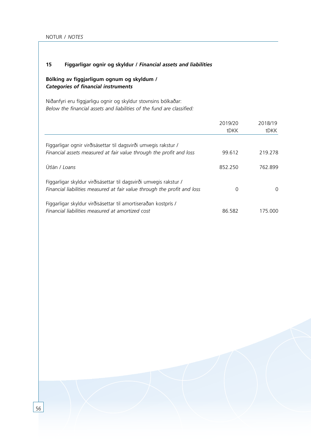## **15 Fíggarligar ognir og skyldur /** *Financial assets and liabilities*

## **Bólking av fíggjarligum ognum og skyldum /** *Categories of financial instruments*

Niðanfyri eru fíggjarligu ognir og skyldur stovnsins bólkaðar: *Below the financial assets and liabilities of the fund are classified:*

|                                                                                                                                               | 2019/20 | 2018/19 |
|-----------------------------------------------------------------------------------------------------------------------------------------------|---------|---------|
|                                                                                                                                               | tDKK    | tDKK    |
| Fíggarligar ognir virðisásettar til dagsvirði umvegis rakstur /                                                                               |         |         |
| Financial assets measured at fair value through the profit and loss                                                                           | 99.612  | 219.278 |
| Útlán / Loans                                                                                                                                 | 852.250 | 762.899 |
| Fíggarligar skyldur virðisásettar til dagsvirði umvegis rakstur /<br>Financial liabilities measured at fair value through the profit and loss | 0       | 0       |
| Fíggarligar skyldur virðisásettar til amortiseraðan kostprís /<br>Financial liabilities measured at amortized cost                            | 86.582  | 175.000 |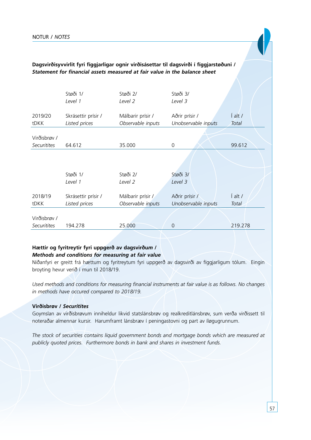# Støði 1/ Støði 2/ Støði 3/ *Level 1 Level 2 Level 3*  2019/20 Skrásettir prísir / Málbarir prísir / Aðrir prísir / Í alt / tDKK *Listed prices Observable inputs Unobservable inputs Total* Virðisbrøv / *Securitites* 64.612 35.000 0 99.612 Støði 1/ Støði 2/ Støði 3/ *Level 1 Level 2 Level 3*  2018/19 Skrásettir prísir / Málbarir prísir / Aðrir prísir / Í alt / tDKK *Listed prices Observable inputs Unobservable inputs Total* Virðisbrøv / *Securitites* 194.278 25.000 0 219.278

## **Dagsvirðisyvvirlit fyri fíggjarligar ognir virðisásettar til dagsvirði í fíggjarstøðuni /**  *Statement for financial assets measured at fair value in the balance sheet*

#### **Hættir og fyritreytir fyri uppgerð av dagsvirðu***m* **/** *Methods and conditions for measuring at fair value*

Niðanfyri er greitt frá hættum og fyritreytum fyri uppgerð av dagsvirði av fíggjarligum tólum. Eingin broyting hevur verið í mun til 2018/19.

*Used methods and conditions for measuring financial instruments at fair value is as follows. No changes in methods have occured compared to 2018/19.* 

## **Virðisbrøv /** *Securitites*

Goymslan av virðisbrøvum inniheldur likvid statslánsbrøv og realkreditlánsbrøv, sum verða virðissett til noteraðar almennar kursir. Harumframt lánsbræv í peningastovni og part av íløgugrunnum.

*The stock of securities contains liquid government bonds and mortgage bonds which are measured at publicly quoted prices. Furthermore bonds in bank and shares in investment funds.*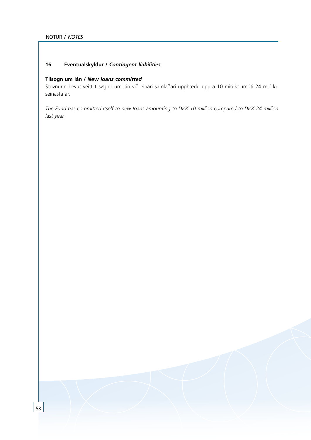## **16 Eventualskyldur /** *Contingent liabilities*

## **Tilsøgn um lán /** *New loans committed*

Stovnurin hevur veitt tilsøgnir um lán við einari samlaðari upphædd upp á 10 mió.kr. ímóti 24 mió.kr. seinasta ár.

*The Fund has committed itself to new loans amounting to DKK 10 million compared to DKK 24 million last year.*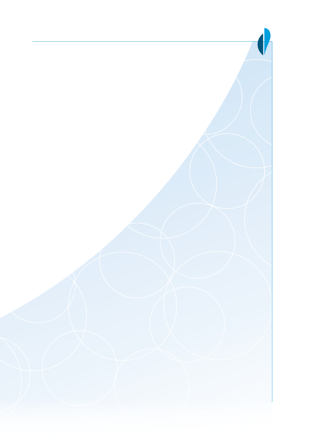